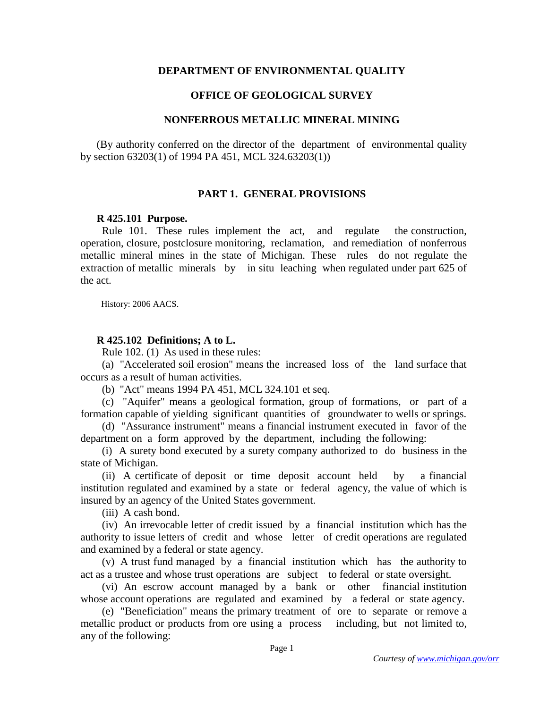### **DEPARTMENT OF ENVIRONMENTAL QUALITY**

## **OFFICE OF GEOLOGICAL SURVEY**

## **NONFERROUS METALLIC MINERAL MINING**

(By authority conferred on the director of the department of environmental quality by section 63203(1) of 1994 PA 451, MCL 324.63203(1))

### **PART 1. GENERAL PROVISIONS**

#### **R 425.101 Purpose.**

Rule 101. These rules implement the act, and regulate the construction, operation, closure, postclosure monitoring, reclamation, and remediation of nonferrous metallic mineral mines in the state of Michigan. These rules do not regulate the extraction of metallic minerals by in situ leaching when regulated under part 625 of the act.

History: 2006 AACS.

### **R 425.102 Definitions; A to L.**

Rule 102. (1) As used in these rules:

 (a) "Accelerated soil erosion" means the increased loss of the land surface that occurs as a result of human activities.

(b) "Act" means 1994 PA 451, MCL 324.101 et seq.

 (c) "Aquifer" means a geological formation, group of formations, or part of a formation capable of yielding significant quantities of groundwater to wells or springs.

 (d) "Assurance instrument" means a financial instrument executed in favor of the department on a form approved by the department, including the following:

 (i) A surety bond executed by a surety company authorized to do business in the state of Michigan.

 (ii) A certificate of deposit or time deposit account held by a financial institution regulated and examined by a state or federal agency, the value of which is insured by an agency of the United States government.

(iii) A cash bond.

 (iv) An irrevocable letter of credit issued by a financial institution which has the authority to issue letters of credit and whose letter of credit operations are regulated and examined by a federal or state agency.

 (v) A trust fund managed by a financial institution which has the authority to act as a trustee and whose trust operations are subject to federal or state oversight.

 (vi) An escrow account managed by a bank or other financial institution whose account operations are regulated and examined by a federal or state agency.

 (e) "Beneficiation" means the primary treatment of ore to separate or remove a metallic product or products from ore using a process including, but not limited to, any of the following: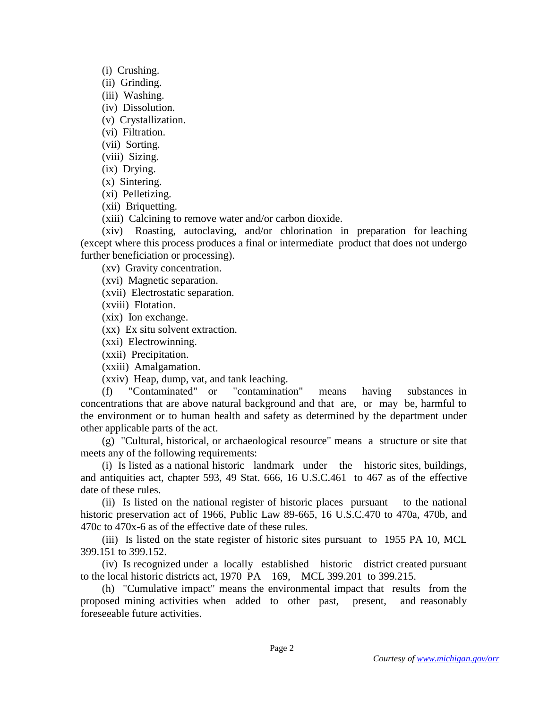(i) Crushing.

(ii) Grinding.

(iii) Washing.

(iv) Dissolution.

(v) Crystallization.

(vi) Filtration.

(vii) Sorting.

(viii) Sizing.

(ix) Drying.

(x) Sintering.

(xi) Pelletizing.

(xii) Briquetting.

(xiii) Calcining to remove water and/or carbon dioxide.

 (xiv) Roasting, autoclaving, and/or chlorination in preparation for leaching (except where this process produces a final or intermediate product that does not undergo further beneficiation or processing).

(xv) Gravity concentration.

(xvi) Magnetic separation.

(xvii) Electrostatic separation.

(xviii) Flotation.

(xix) Ion exchange.

(xx) Ex situ solvent extraction.

(xxi) Electrowinning.

(xxii) Precipitation.

(xxiii) Amalgamation.

(xxiv) Heap, dump, vat, and tank leaching.

 (f) "Contaminated" or "contamination" means having substances in concentrations that are above natural background and that are, or may be, harmful to the environment or to human health and safety as determined by the department under other applicable parts of the act.

 (g) "Cultural, historical, or archaeological resource" means a structure or site that meets any of the following requirements:

 (i) Is listed as a national historic landmark under the historic sites, buildings, and antiquities act, chapter 593, 49 Stat. 666, 16 U.S.C.461 to 467 as of the effective date of these rules.

 (ii) Is listed on the national register of historic places pursuant to the national historic preservation act of 1966, Public Law 89-665, 16 U.S.C.470 to 470a, 470b, and 470c to 470x-6 as of the effective date of these rules.

 (iii) Is listed on the state register of historic sites pursuant to 1955 PA 10, MCL 399.151 to 399.152.

 (iv) Is recognized under a locally established historic district created pursuant to the local historic districts act, 1970 PA 169, MCL 399.201 to 399.215.

 (h) "Cumulative impact" means the environmental impact that results from the proposed mining activities when added to other past, present, and reasonably foreseeable future activities.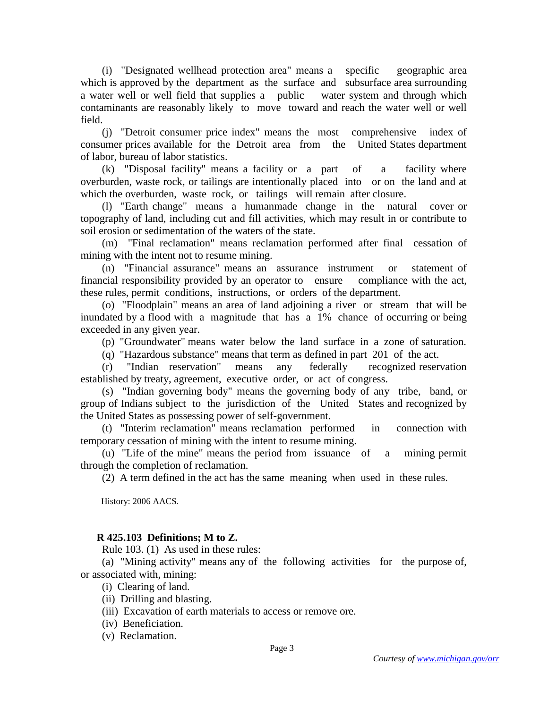(i) "Designated wellhead protection area" means a specific geographic area which is approved by the department as the surface and subsurface area surrounding a water well or well field that supplies a public water system and through which contaminants are reasonably likely to move toward and reach the water well or well field.

 (j) "Detroit consumer price index" means the most comprehensive index of consumer prices available for the Detroit area from the United States department of labor, bureau of labor statistics.

 (k) "Disposal facility" means a facility or a part of a facility where overburden, waste rock, or tailings are intentionally placed into or on the land and at which the overburden, waste rock, or tailings will remain after closure.

 (l) "Earth change" means a humanmade change in the natural cover or topography of land, including cut and fill activities, which may result in or contribute to soil erosion or sedimentation of the waters of the state.

 (m) "Final reclamation" means reclamation performed after final cessation of mining with the intent not to resume mining.

 (n) "Financial assurance" means an assurance instrument or statement of financial responsibility provided by an operator to ensure compliance with the act, these rules, permit conditions, instructions, or orders of the department.

 (o) "Floodplain" means an area of land adjoining a river or stream that will be inundated by a flood with a magnitude that has a 1% chance of occurring or being exceeded in any given year.

(p) "Groundwater" means water below the land surface in a zone of saturation.

(q) "Hazardous substance" means that term as defined in part 201 of the act.

 (r) "Indian reservation" means any federally recognized reservation established by treaty, agreement, executive order, or act of congress.

 (s) "Indian governing body" means the governing body of any tribe, band, or group of Indians subject to the jurisdiction of the United States and recognized by the United States as possessing power of self-government.

 (t) "Interim reclamation" means reclamation performed in connection with temporary cessation of mining with the intent to resume mining.

 (u) "Life of the mine" means the period from issuance of a mining permit through the completion of reclamation.

(2) A term defined in the act has the same meaning when used in these rules.

History: 2006 AACS.

# **R 425.103 Definitions; M to Z.**

Rule 103. (1) As used in these rules:

 (a) "Mining activity" means any of the following activities for the purpose of, or associated with, mining:

(i) Clearing of land.

- (ii) Drilling and blasting.
- (iii) Excavation of earth materials to access or remove ore.
- (iv) Beneficiation.
- (v) Reclamation.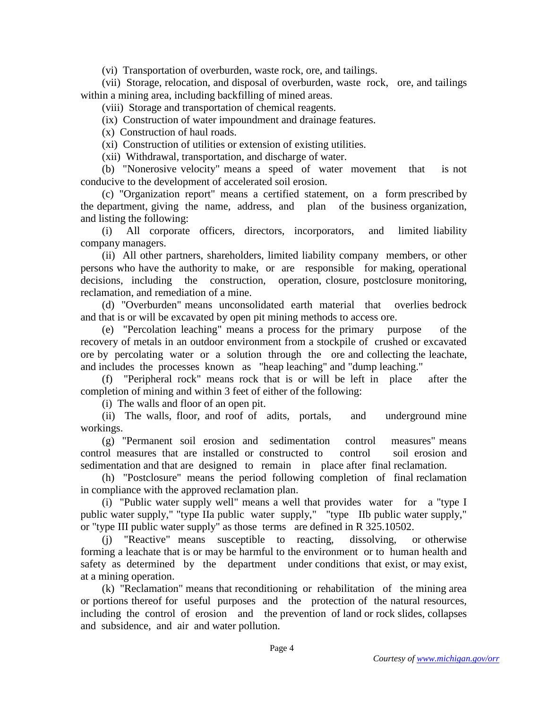(vi) Transportation of overburden, waste rock, ore, and tailings.

 (vii) Storage, relocation, and disposal of overburden, waste rock, ore, and tailings within a mining area, including backfilling of mined areas.

(viii) Storage and transportation of chemical reagents.

(ix) Construction of water impoundment and drainage features.

(x) Construction of haul roads.

(xi) Construction of utilities or extension of existing utilities.

(xii) Withdrawal, transportation, and discharge of water.

 (b) "Nonerosive velocity" means a speed of water movement that is not conducive to the development of accelerated soil erosion.

 (c) "Organization report" means a certified statement, on a form prescribed by the department, giving the name, address, and plan of the business organization, and listing the following:

 (i) All corporate officers, directors, incorporators, and limited liability company managers.

 (ii) All other partners, shareholders, limited liability company members, or other persons who have the authority to make, or are responsible for making, operational decisions, including the construction, operation, closure, postclosure monitoring, reclamation, and remediation of a mine.

 (d) "Overburden" means unconsolidated earth material that overlies bedrock and that is or will be excavated by open pit mining methods to access ore.

 (e) "Percolation leaching" means a process for the primary purpose of the recovery of metals in an outdoor environment from a stockpile of crushed or excavated ore by percolating water or a solution through the ore and collecting the leachate, and includes the processes known as "heap leaching" and "dump leaching."

 (f) "Peripheral rock" means rock that is or will be left in place after the completion of mining and within 3 feet of either of the following:

(i) The walls and floor of an open pit.

 (ii) The walls, floor, and roof of adits, portals, and underground mine workings.

 (g) "Permanent soil erosion and sedimentation control measures" means control measures that are installed or constructed to control soil erosion and sedimentation and that are designed to remain in place after final reclamation.

 (h) "Postclosure" means the period following completion of final reclamation in compliance with the approved reclamation plan.

 (i) "Public water supply well" means a well that provides water for a "type I public water supply," "type IIa public water supply," "type IIb public water supply," or "type III public water supply" as those terms are defined in R 325.10502.

 (j) "Reactive" means susceptible to reacting, dissolving, or otherwise forming a leachate that is or may be harmful to the environment or to human health and safety as determined by the department under conditions that exist, or may exist, at a mining operation.

 (k) "Reclamation" means that reconditioning or rehabilitation of the mining area or portions thereof for useful purposes and the protection of the natural resources, including the control of erosion and the prevention of land or rock slides, collapses and subsidence, and air and water pollution.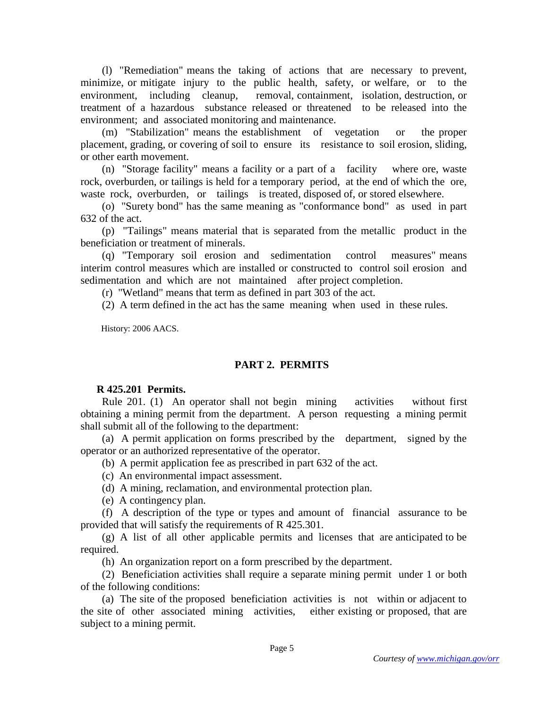(l) "Remediation" means the taking of actions that are necessary to prevent, minimize, or mitigate injury to the public health, safety, or welfare, or to the environment, including cleanup, removal, containment, isolation, destruction, or treatment of a hazardous substance released or threatened to be released into the environment; and associated monitoring and maintenance.

 (m) "Stabilization" means the establishment of vegetation or the proper placement, grading, or covering of soil to ensure its resistance to soil erosion, sliding, or other earth movement.

 (n) "Storage facility" means a facility or a part of a facility where ore, waste rock, overburden, or tailings is held for a temporary period, at the end of which the ore, waste rock, overburden, or tailings is treated, disposed of, or stored elsewhere.

 (o) "Surety bond" has the same meaning as "conformance bond" as used in part 632 of the act.

 (p) "Tailings" means material that is separated from the metallic product in the beneficiation or treatment of minerals.

 (q) "Temporary soil erosion and sedimentation control measures" means interim control measures which are installed or constructed to control soil erosion and sedimentation and which are not maintained after project completion.

(r) "Wetland" means that term as defined in part 303 of the act.

(2) A term defined in the act has the same meaning when used in these rules.

History: 2006 AACS.

# **PART 2. PERMITS**

# **R 425.201 Permits.**

 Rule 201. (1) An operator shall not begin mining activities without first obtaining a mining permit from the department. A person requesting a mining permit shall submit all of the following to the department:

 (a) A permit application on forms prescribed by the department, signed by the operator or an authorized representative of the operator.

(b) A permit application fee as prescribed in part 632 of the act.

(c) An environmental impact assessment.

(d) A mining, reclamation, and environmental protection plan.

(e) A contingency plan.

 (f) A description of the type or types and amount of financial assurance to be provided that will satisfy the requirements of R 425.301.

 (g) A list of all other applicable permits and licenses that are anticipated to be required.

(h) An organization report on a form prescribed by the department.

 (2) Beneficiation activities shall require a separate mining permit under 1 or both of the following conditions:

 (a) The site of the proposed beneficiation activities is not within or adjacent to the site of other associated mining activities, either existing or proposed, that are subject to a mining permit.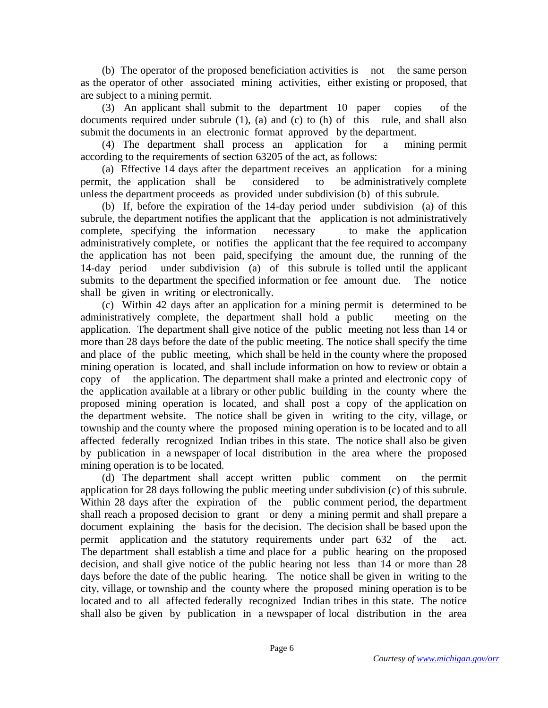(b) The operator of the proposed beneficiation activities is not the same person as the operator of other associated mining activities, either existing or proposed, that are subject to a mining permit.

 (3) An applicant shall submit to the department 10 paper copies of the documents required under subrule (1), (a) and (c) to (h) of this rule, and shall also submit the documents in an electronic format approved by the department.

 (4) The department shall process an application for a mining permit according to the requirements of section 63205 of the act, as follows:

 (a) Effective 14 days after the department receives an application for a mining permit, the application shall be considered to be administratively complete unless the department proceeds as provided under subdivision (b) of this subrule.

 (b) If, before the expiration of the 14-day period under subdivision (a) of this subrule, the department notifies the applicant that the application is not administratively complete, specifying the information necessary to make the application administratively complete, or notifies the applicant that the fee required to accompany the application has not been paid, specifying the amount due, the running of the 14-day period under subdivision (a) of this subrule is tolled until the applicant submits to the department the specified information or fee amount due. The notice shall be given in writing or electronically.

 (c) Within 42 days after an application for a mining permit is determined to be administratively complete, the department shall hold a public meeting on the application. The department shall give notice of the public meeting not less than 14 or more than 28 days before the date of the public meeting. The notice shall specify the time and place of the public meeting, which shall be held in the county where the proposed mining operation is located, and shall include information on how to review or obtain a copy of the application. The department shall make a printed and electronic copy of the application available at a library or other public building in the county where the proposed mining operation is located, and shall post a copy of the application on the department website. The notice shall be given in writing to the city, village, or township and the county where the proposed mining operation is to be located and to all affected federally recognized Indian tribes in this state. The notice shall also be given by publication in a newspaper of local distribution in the area where the proposed mining operation is to be located.

 (d) The department shall accept written public comment on the permit application for 28 days following the public meeting under subdivision (c) of this subrule. Within 28 days after the expiration of the public comment period, the department shall reach a proposed decision to grant or deny a mining permit and shall prepare a document explaining the basis for the decision. The decision shall be based upon the permit application and the statutory requirements under part 632 of the act. The department shall establish a time and place for a public hearing on the proposed decision, and shall give notice of the public hearing not less than 14 or more than 28 days before the date of the public hearing. The notice shall be given in writing to the city, village, or township and the county where the proposed mining operation is to be located and to all affected federally recognized Indian tribes in this state. The notice shall also be given by publication in a newspaper of local distribution in the area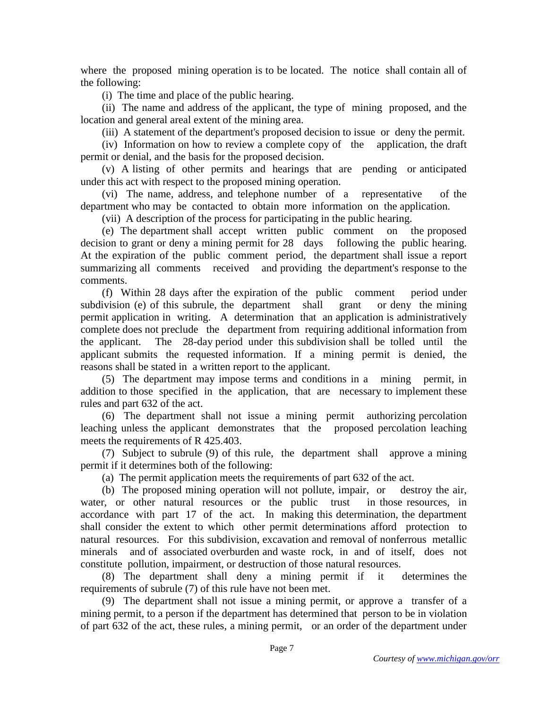where the proposed mining operation is to be located. The notice shall contain all of the following:

(i) The time and place of the public hearing.

 (ii) The name and address of the applicant, the type of mining proposed, and the location and general areal extent of the mining area.

(iii) A statement of the department's proposed decision to issue or deny the permit.

 (iv) Information on how to review a complete copy of the application, the draft permit or denial, and the basis for the proposed decision.

 (v) A listing of other permits and hearings that are pending or anticipated under this act with respect to the proposed mining operation.

 (vi) The name, address, and telephone number of a representative of the department who may be contacted to obtain more information on the application.

(vii) A description of the process for participating in the public hearing.

 (e) The department shall accept written public comment on the proposed decision to grant or deny a mining permit for 28 days following the public hearing. At the expiration of the public comment period, the department shall issue a report summarizing all comments received and providing the department's response to the comments.

 (f) Within 28 days after the expiration of the public comment period under subdivision (e) of this subrule, the department shall grant or deny the mining permit application in writing. A determination that an application is administratively complete does not preclude the department from requiring additional information from the applicant. The 28-day period under this subdivision shall be tolled until the applicant submits the requested information. If a mining permit is denied, the reasons shall be stated in a written report to the applicant.

 (5) The department may impose terms and conditions in a mining permit, in addition to those specified in the application, that are necessary to implement these rules and part 632 of the act.

 (6) The department shall not issue a mining permit authorizing percolation leaching unless the applicant demonstrates that the proposed percolation leaching meets the requirements of R 425.403.

 (7) Subject to subrule (9) of this rule, the department shall approve a mining permit if it determines both of the following:

(a) The permit application meets the requirements of part 632 of the act.

 (b) The proposed mining operation will not pollute, impair, or destroy the air, water, or other natural resources or the public trust in those resources, in accordance with part 17 of the act. In making this determination, the department shall consider the extent to which other permit determinations afford protection to natural resources. For this subdivision, excavation and removal of nonferrous metallic minerals and of associated overburden and waste rock, in and of itself, does not constitute pollution, impairment, or destruction of those natural resources.

 (8) The department shall deny a mining permit if it determines the requirements of subrule (7) of this rule have not been met.

 (9) The department shall not issue a mining permit, or approve a transfer of a mining permit, to a person if the department has determined that person to be in violation of part 632 of the act, these rules, a mining permit, or an order of the department under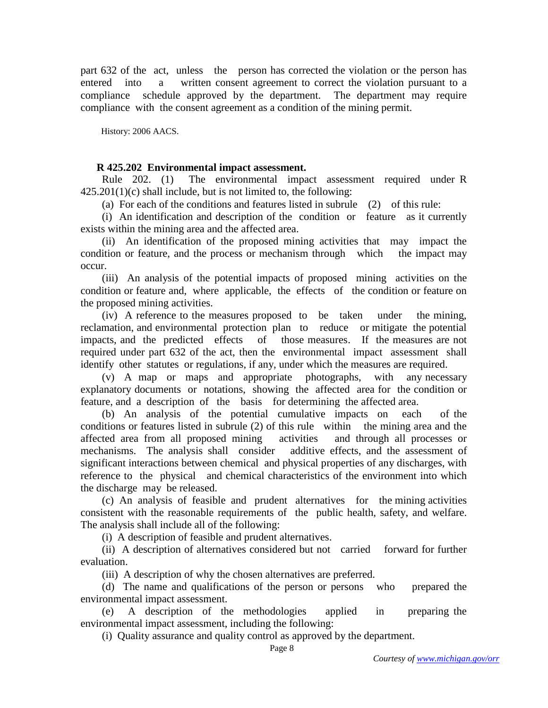part 632 of the act, unless the person has corrected the violation or the person has entered into a written consent agreement to correct the violation pursuant to a compliance schedule approved by the department. The department may require compliance with the consent agreement as a condition of the mining permit.

History: 2006 AACS.

### **R 425.202 Environmental impact assessment.**

 Rule 202. (1) The environmental impact assessment required under R  $425.201(1)(c)$  shall include, but is not limited to, the following:

(a) For each of the conditions and features listed in subrule (2) of this rule:

 (i) An identification and description of the condition or feature as it currently exists within the mining area and the affected area.

 (ii) An identification of the proposed mining activities that may impact the condition or feature, and the process or mechanism through which the impact may occur.

 (iii) An analysis of the potential impacts of proposed mining activities on the condition or feature and, where applicable, the effects of the condition or feature on the proposed mining activities.

 (iv) A reference to the measures proposed to be taken under the mining, reclamation, and environmental protection plan to reduce or mitigate the potential impacts, and the predicted effects of those measures. If the measures are not required under part 632 of the act, then the environmental impact assessment shall identify other statutes or regulations, if any, under which the measures are required.

 (v) A map or maps and appropriate photographs, with any necessary explanatory documents or notations, showing the affected area for the condition or feature, and a description of the basis for determining the affected area.

 (b) An analysis of the potential cumulative impacts on each of the conditions or features listed in subrule (2) of this rule within the mining area and the affected area from all proposed mining activities and through all processes or mechanisms. The analysis shall consider additive effects, and the assessment of significant interactions between chemical and physical properties of any discharges, with reference to the physical and chemical characteristics of the environment into which the discharge may be released.

 (c) An analysis of feasible and prudent alternatives for the mining activities consistent with the reasonable requirements of the public health, safety, and welfare. The analysis shall include all of the following:

(i) A description of feasible and prudent alternatives.

(ii) A description of alternatives considered but not carried forward for further evaluation.

(iii) A description of why the chosen alternatives are preferred.

 (d) The name and qualifications of the person or persons who prepared the environmental impact assessment.

 (e) A description of the methodologies applied in preparing the environmental impact assessment, including the following:

(i) Quality assurance and quality control as approved by the department.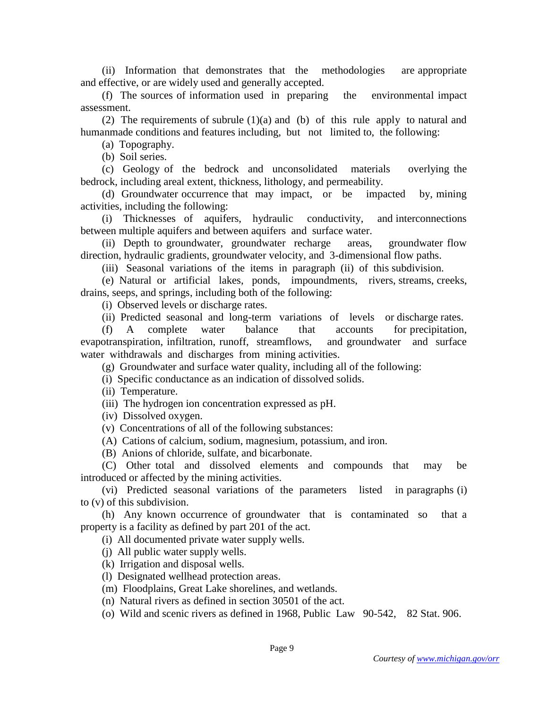(ii) Information that demonstrates that the methodologies are appropriate and effective, or are widely used and generally accepted.

 (f) The sources of information used in preparing the environmental impact assessment.

(2) The requirements of subrule  $(1)(a)$  and (b) of this rule apply to natural and humanmade conditions and features including, but not limited to, the following:

(a) Topography.

(b) Soil series.

 (c) Geology of the bedrock and unconsolidated materials overlying the bedrock, including areal extent, thickness, lithology, and permeability.

 (d) Groundwater occurrence that may impact, or be impacted by, mining activities, including the following:

 (i) Thicknesses of aquifers, hydraulic conductivity, and interconnections between multiple aquifers and between aquifers and surface water.

 (ii) Depth to groundwater, groundwater recharge areas, groundwater flow direction, hydraulic gradients, groundwater velocity, and 3-dimensional flow paths.

(iii) Seasonal variations of the items in paragraph (ii) of this subdivision.

 (e) Natural or artificial lakes, ponds, impoundments, rivers, streams, creeks, drains, seeps, and springs, including both of the following:

(i) Observed levels or discharge rates.

(ii) Predicted seasonal and long-term variations of levels or discharge rates.

 (f) A complete water balance that accounts for precipitation, evapotranspiration, infiltration, runoff, streamflows, and groundwater and surface water withdrawals and discharges from mining activities.

(g) Groundwater and surface water quality, including all of the following:

(i) Specific conductance as an indication of dissolved solids.

(ii) Temperature.

(iii) The hydrogen ion concentration expressed as pH.

(iv) Dissolved oxygen.

(v) Concentrations of all of the following substances:

(A) Cations of calcium, sodium, magnesium, potassium, and iron.

(B) Anions of chloride, sulfate, and bicarbonate.

 (C) Other total and dissolved elements and compounds that may be introduced or affected by the mining activities.

 (vi) Predicted seasonal variations of the parameters listed in paragraphs (i) to (v) of this subdivision.

 (h) Any known occurrence of groundwater that is contaminated so that a property is a facility as defined by part 201 of the act.

(i) All documented private water supply wells.

(j) All public water supply wells.

(k) Irrigation and disposal wells.

(l) Designated wellhead protection areas.

(m) Floodplains, Great Lake shorelines, and wetlands.

(n) Natural rivers as defined in section 30501 of the act.

(o) Wild and scenic rivers as defined in 1968, Public Law 90-542, 82 Stat. 906.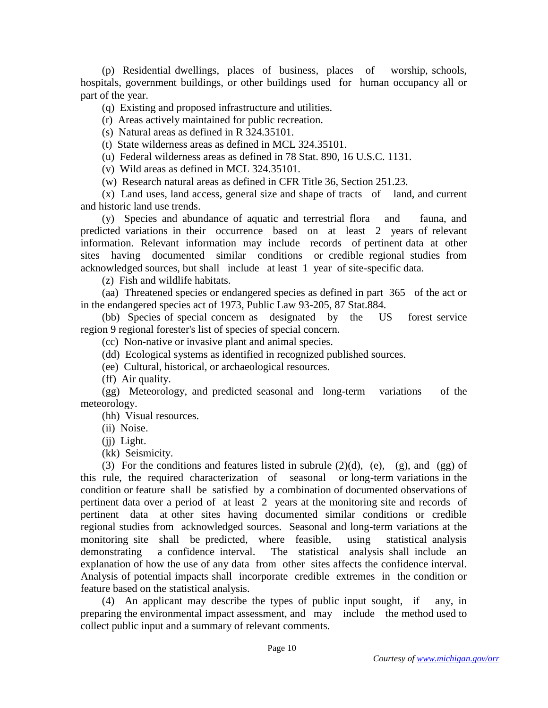(p) Residential dwellings, places of business, places of worship, schools, hospitals, government buildings, or other buildings used for human occupancy all or part of the year.

(q) Existing and proposed infrastructure and utilities.

(r) Areas actively maintained for public recreation.

(s) Natural areas as defined in R 324.35101.

(t) State wilderness areas as defined in MCL 324.35101.

(u) Federal wilderness areas as defined in 78 Stat. 890, 16 U.S.C. 1131.

(v) Wild areas as defined in MCL 324.35101.

(w) Research natural areas as defined in CFR Title 36, Section 251.23.

 (x) Land uses, land access, general size and shape of tracts of land, and current and historic land use trends.

 (y) Species and abundance of aquatic and terrestrial flora and fauna, and predicted variations in their occurrence based on at least 2 years of relevant information. Relevant information may include records of pertinent data at other sites having documented similar conditions or credible regional studies from acknowledged sources, but shall include at least 1 year of site-specific data.

(z) Fish and wildlife habitats.

 (aa) Threatened species or endangered species as defined in part 365 of the act or in the endangered species act of 1973, Public Law 93-205, 87 Stat.884.

 (bb) Species of special concern as designated by the US forest service region 9 regional forester's list of species of special concern.

(cc) Non-native or invasive plant and animal species.

(dd) Ecological systems as identified in recognized published sources.

(ee) Cultural, historical, or archaeological resources.

(ff) Air quality.

 (gg) Meteorology, and predicted seasonal and long-term variations of the meteorology.

(hh) Visual resources.

(ii) Noise.

(ii) Light.

(kk) Seismicity.

(3) For the conditions and features listed in subrule  $(2)(d)$ ,  $(e)$ ,  $(g)$ , and  $(gg)$  of this rule, the required characterization of seasonal or long-term variations in the condition or feature shall be satisfied by a combination of documented observations of pertinent data over a period of at least 2 years at the monitoring site and records of pertinent data at other sites having documented similar conditions or credible regional studies from acknowledged sources. Seasonal and long-term variations at the monitoring site shall be predicted, where feasible, using statistical analysis demonstrating a confidence interval. The statistical analysis shall include an explanation of how the use of any data from other sites affects the confidence interval. Analysis of potential impacts shall incorporate credible extremes in the condition or feature based on the statistical analysis.

 (4) An applicant may describe the types of public input sought, if any, in preparing the environmental impact assessment, and may include the method used to collect public input and a summary of relevant comments.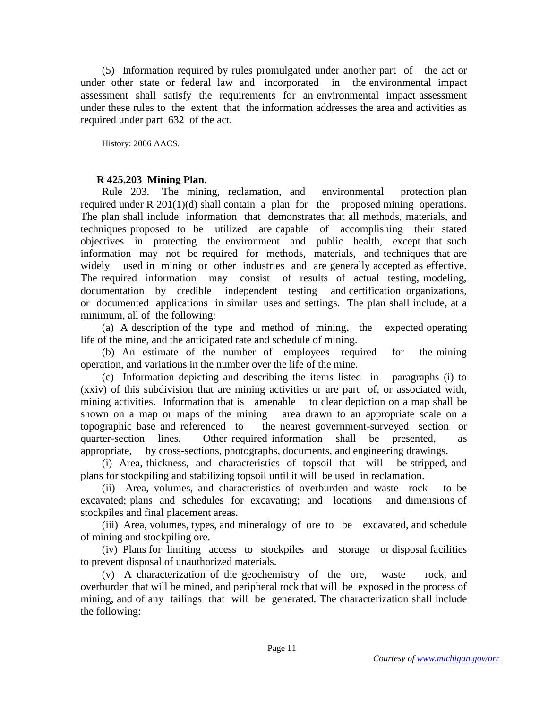(5) Information required by rules promulgated under another part of the act or under other state or federal law and incorporated in the environmental impact assessment shall satisfy the requirements for an environmental impact assessment under these rules to the extent that the information addresses the area and activities as required under part 632 of the act.

History: 2006 AACS.

# **R 425.203 Mining Plan.**

 Rule 203. The mining, reclamation, and environmental protection plan required under R  $201(1)(d)$  shall contain a plan for the proposed mining operations. The plan shall include information that demonstrates that all methods, materials, and techniques proposed to be utilized are capable of accomplishing their stated objectives in protecting the environment and public health, except that such information may not be required for methods, materials, and techniques that are widely used in mining or other industries and are generally accepted as effective. The required information may consist of results of actual testing, modeling, documentation by credible independent testing and certification organizations, or documented applications in similar uses and settings. The plan shall include, at a minimum, all of the following:

 (a) A description of the type and method of mining, the expected operating life of the mine, and the anticipated rate and schedule of mining.

 (b) An estimate of the number of employees required for the mining operation, and variations in the number over the life of the mine.

 (c) Information depicting and describing the items listed in paragraphs (i) to (xxiv) of this subdivision that are mining activities or are part of, or associated with, mining activities. Information that is amenable to clear depiction on a map shall be shown on a map or maps of the mining area drawn to an appropriate scale on a topographic base and referenced to the nearest government-surveyed section or quarter-section lines. Other required information shall be presented, as appropriate, by cross-sections, photographs, documents, and engineering drawings.

 (i) Area, thickness, and characteristics of topsoil that will be stripped, and plans for stockpiling and stabilizing topsoil until it will be used in reclamation.

 (ii) Area, volumes, and characteristics of overburden and waste rock to be excavated; plans and schedules for excavating; and locations and dimensions of stockpiles and final placement areas.

 (iii) Area, volumes, types, and mineralogy of ore to be excavated, and schedule of mining and stockpiling ore.

 (iv) Plans for limiting access to stockpiles and storage or disposal facilities to prevent disposal of unauthorized materials.

 (v) A characterization of the geochemistry of the ore, waste rock, and overburden that will be mined, and peripheral rock that will be exposed in the process of mining, and of any tailings that will be generated. The characterization shall include the following: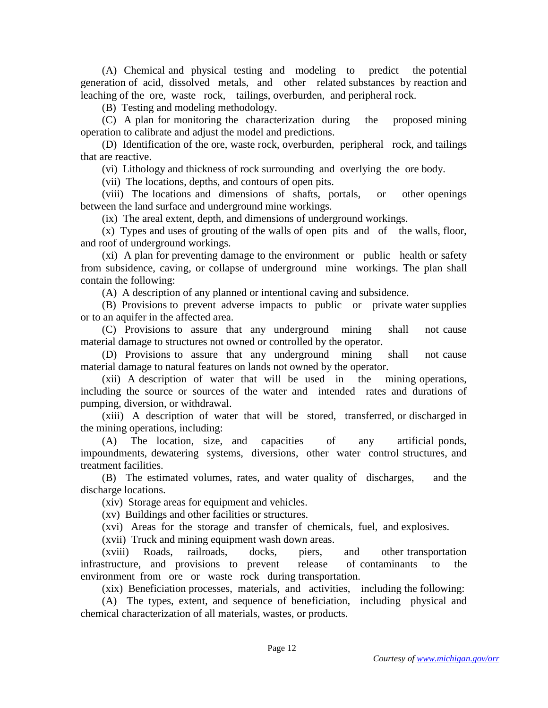(A) Chemical and physical testing and modeling to predict the potential generation of acid, dissolved metals, and other related substances by reaction and leaching of the ore, waste rock, tailings, overburden, and peripheral rock.

(B) Testing and modeling methodology.

 (C) A plan for monitoring the characterization during the proposed mining operation to calibrate and adjust the model and predictions.

 (D) Identification of the ore, waste rock, overburden, peripheral rock, and tailings that are reactive.

(vi) Lithology and thickness of rock surrounding and overlying the ore body.

(vii) The locations, depths, and contours of open pits.

 (viii) The locations and dimensions of shafts, portals, or other openings between the land surface and underground mine workings.

(ix) The areal extent, depth, and dimensions of underground workings.

 (x) Types and uses of grouting of the walls of open pits and of the walls, floor, and roof of underground workings.

 (xi) A plan for preventing damage to the environment or public health or safety from subsidence, caving, or collapse of underground mine workings. The plan shall contain the following:

(A) A description of any planned or intentional caving and subsidence.

 (B) Provisions to prevent adverse impacts to public or private water supplies or to an aquifer in the affected area.

 (C) Provisions to assure that any underground mining shall not cause material damage to structures not owned or controlled by the operator.

 (D) Provisions to assure that any underground mining shall not cause material damage to natural features on lands not owned by the operator.

 (xii) A description of water that will be used in the mining operations, including the source or sources of the water and intended rates and durations of pumping, diversion, or withdrawal.

 (xiii) A description of water that will be stored, transferred, or discharged in the mining operations, including:

 (A) The location, size, and capacities of any artificial ponds, impoundments, dewatering systems, diversions, other water control structures, and treatment facilities.

 (B) The estimated volumes, rates, and water quality of discharges, and the discharge locations.

(xiv) Storage areas for equipment and vehicles.

(xv) Buildings and other facilities or structures.

(xvi) Areas for the storage and transfer of chemicals, fuel, and explosives.

(xvii) Truck and mining equipment wash down areas.

 (xviii) Roads, railroads, docks, piers, and other transportation infrastructure, and provisions to prevent release of contaminants to the environment from ore or waste rock during transportation.

(xix) Beneficiation processes, materials, and activities, including the following:

 (A) The types, extent, and sequence of beneficiation, including physical and chemical characterization of all materials, wastes, or products.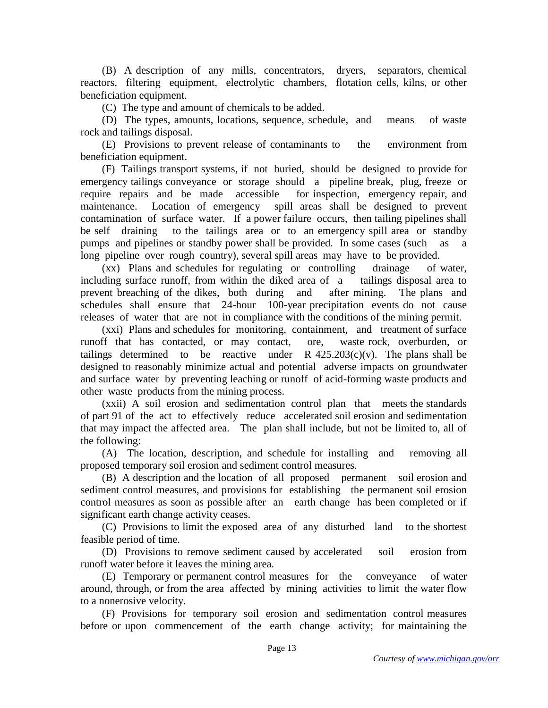(B) A description of any mills, concentrators, dryers, separators, chemical reactors, filtering equipment, electrolytic chambers, flotation cells, kilns, or other beneficiation equipment.

(C) The type and amount of chemicals to be added.

 (D) The types, amounts, locations, sequence, schedule, and means of waste rock and tailings disposal.

 (E) Provisions to prevent release of contaminants to the environment from beneficiation equipment.

 (F) Tailings transport systems, if not buried, should be designed to provide for emergency tailings conveyance or storage should a pipeline break, plug, freeze or require repairs and be made accessible for inspection, emergency repair, and maintenance. Location of emergency spill areas shall be designed to prevent contamination of surface water. If a power failure occurs, then tailing pipelines shall be self draining to the tailings area or to an emergency spill area or standby pumps and pipelines or standby power shall be provided. In some cases (such as a long pipeline over rough country), several spill areas may have to be provided.

 (xx) Plans and schedules for regulating or controlling drainage of water, including surface runoff, from within the diked area of a tailings disposal area to prevent breaching of the dikes, both during and after mining. The plans and schedules shall ensure that 24-hour 100-year precipitation events do not cause releases of water that are not in compliance with the conditions of the mining permit.

 (xxi) Plans and schedules for monitoring, containment, and treatment of surface runoff that has contacted, or may contact, ore, waste rock, overburden, or tailings determined to be reactive under R  $425.203(c)(v)$ . The plans shall be designed to reasonably minimize actual and potential adverse impacts on groundwater and surface water by preventing leaching or runoff of acid-forming waste products and other waste products from the mining process.

 (xxii) A soil erosion and sedimentation control plan that meets the standards of part 91 of the act to effectively reduce accelerated soil erosion and sedimentation that may impact the affected area. The plan shall include, but not be limited to, all of the following:

 (A) The location, description, and schedule for installing and removing all proposed temporary soil erosion and sediment control measures.

 (B) A description and the location of all proposed permanent soil erosion and sediment control measures, and provisions for establishing the permanent soil erosion control measures as soon as possible after an earth change has been completed or if significant earth change activity ceases.

 (C) Provisions to limit the exposed area of any disturbed land to the shortest feasible period of time.

 (D) Provisions to remove sediment caused by accelerated soil erosion from runoff water before it leaves the mining area.

 (E) Temporary or permanent control measures for the conveyance of water around, through, or from the area affected by mining activities to limit the water flow to a nonerosive velocity.

 (F) Provisions for temporary soil erosion and sedimentation control measures before or upon commencement of the earth change activity; for maintaining the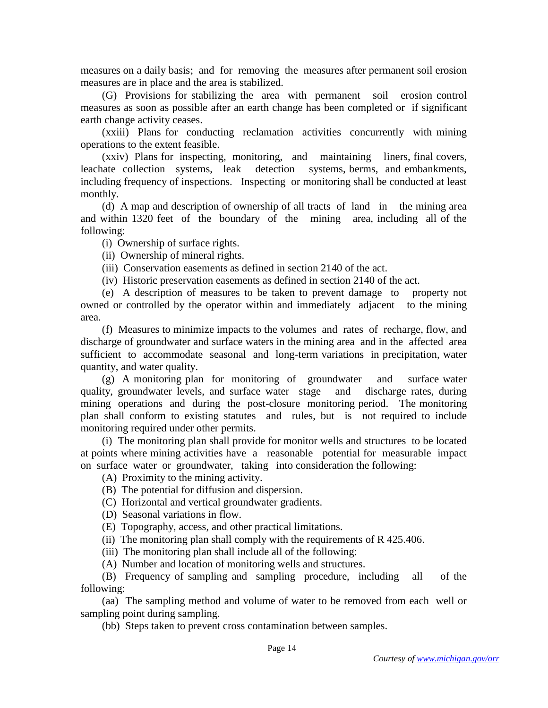measures on a daily basis; and for removing the measures after permanent soil erosion measures are in place and the area is stabilized.

 (G) Provisions for stabilizing the area with permanent soil erosion control measures as soon as possible after an earth change has been completed or if significant earth change activity ceases.

 (xxiii) Plans for conducting reclamation activities concurrently with mining operations to the extent feasible.

 (xxiv) Plans for inspecting, monitoring, and maintaining liners, final covers, leachate collection systems, leak detection systems, berms, and embankments, including frequency of inspections. Inspecting or monitoring shall be conducted at least monthly.

 (d) A map and description of ownership of all tracts of land in the mining area and within 1320 feet of the boundary of the mining area, including all of the following:

(i) Ownership of surface rights.

(ii) Ownership of mineral rights.

(iii) Conservation easements as defined in section 2140 of the act.

(iv) Historic preservation easements as defined in section 2140 of the act.

 (e) A description of measures to be taken to prevent damage to property not owned or controlled by the operator within and immediately adjacent to the mining area.

 (f) Measures to minimize impacts to the volumes and rates of recharge, flow, and discharge of groundwater and surface waters in the mining area and in the affected area sufficient to accommodate seasonal and long-term variations in precipitation, water quantity, and water quality.

 (g) A monitoring plan for monitoring of groundwater and surface water quality, groundwater levels, and surface water stage and discharge rates, during mining operations and during the post-closure monitoring period. The monitoring plan shall conform to existing statutes and rules, but is not required to include monitoring required under other permits.

 (i) The monitoring plan shall provide for monitor wells and structures to be located at points where mining activities have a reasonable potential for measurable impact on surface water or groundwater, taking into consideration the following:

(A) Proximity to the mining activity.

- (B) The potential for diffusion and dispersion.
- (C) Horizontal and vertical groundwater gradients.
- (D) Seasonal variations in flow.
- (E) Topography, access, and other practical limitations.

(ii) The monitoring plan shall comply with the requirements of R 425.406.

(iii) The monitoring plan shall include all of the following:

(A) Number and location of monitoring wells and structures.

 (B) Frequency of sampling and sampling procedure, including all of the following:

 (aa) The sampling method and volume of water to be removed from each well or sampling point during sampling.

(bb) Steps taken to prevent cross contamination between samples.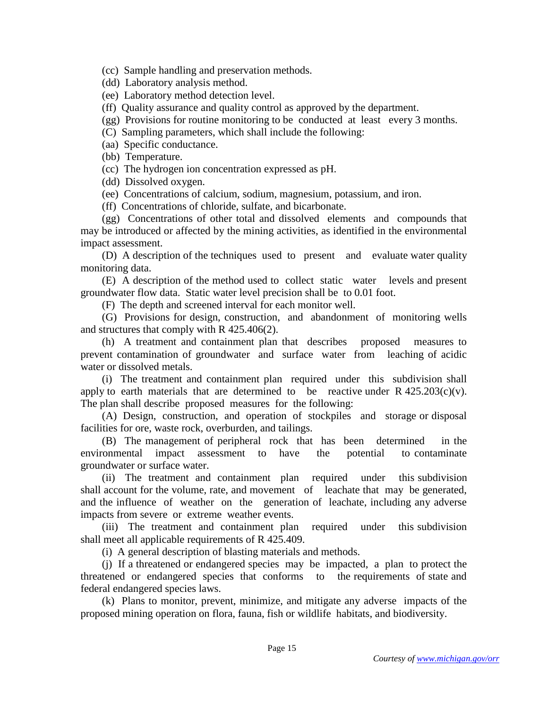(cc) Sample handling and preservation methods.

(dd) Laboratory analysis method.

(ee) Laboratory method detection level.

(ff) Quality assurance and quality control as approved by the department.

- (gg) Provisions for routine monitoring to be conducted at least every 3 months.
- (C) Sampling parameters, which shall include the following:
- (aa) Specific conductance.
- (bb) Temperature.
- (cc) The hydrogen ion concentration expressed as pH.
- (dd) Dissolved oxygen.
- (ee) Concentrations of calcium, sodium, magnesium, potassium, and iron.
- (ff) Concentrations of chloride, sulfate, and bicarbonate.

 (gg) Concentrations of other total and dissolved elements and compounds that may be introduced or affected by the mining activities, as identified in the environmental impact assessment.

 (D) A description of the techniques used to present and evaluate water quality monitoring data.

 (E) A description of the method used to collect static water levels and present groundwater flow data. Static water level precision shall be to 0.01 foot.

(F) The depth and screened interval for each monitor well.

 (G) Provisions for design, construction, and abandonment of monitoring wells and structures that comply with R 425.406(2).

 (h) A treatment and containment plan that describes proposed measures to prevent contamination of groundwater and surface water from leaching of acidic water or dissolved metals.

 (i) The treatment and containment plan required under this subdivision shall apply to earth materials that are determined to be reactive under  $R$  425.203(c)(v). The plan shall describe proposed measures for the following:

 (A) Design, construction, and operation of stockpiles and storage or disposal facilities for ore, waste rock, overburden, and tailings.

 (B) The management of peripheral rock that has been determined in the environmental impact assessment to have the potential to contaminate groundwater or surface water.

 (ii) The treatment and containment plan required under this subdivision shall account for the volume, rate, and movement of leachate that may be generated, and the influence of weather on the generation of leachate, including any adverse impacts from severe or extreme weather events.

 (iii) The treatment and containment plan required under this subdivision shall meet all applicable requirements of R 425.409.

(i) A general description of blasting materials and methods.

 (j) If a threatened or endangered species may be impacted, a plan to protect the threatened or endangered species that conforms to the requirements of state and federal endangered species laws.

 (k) Plans to monitor, prevent, minimize, and mitigate any adverse impacts of the proposed mining operation on flora, fauna, fish or wildlife habitats, and biodiversity.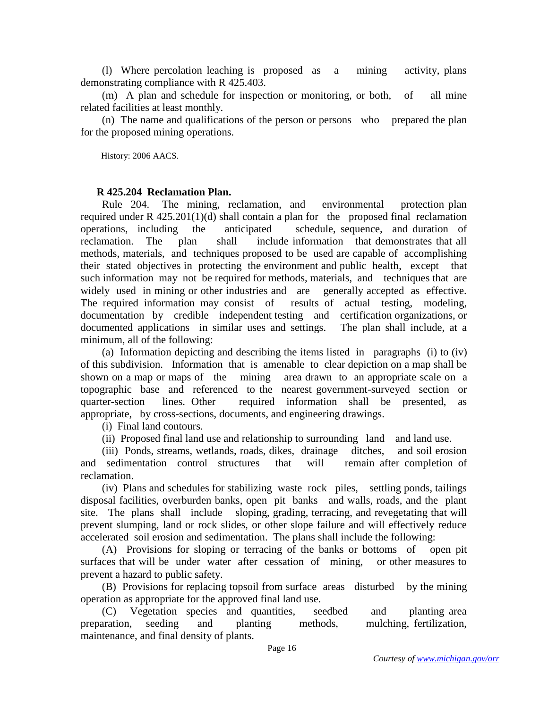(l) Where percolation leaching is proposed as a mining activity, plans demonstrating compliance with R 425.403.

 (m) A plan and schedule for inspection or monitoring, or both, of all mine related facilities at least monthly.

 (n) The name and qualifications of the person or persons who prepared the plan for the proposed mining operations.

History: 2006 AACS.

### **R 425.204 Reclamation Plan.**

 Rule 204. The mining, reclamation, and environmental protection plan required under R 425.201(1)(d) shall contain a plan for the proposed final reclamation operations, including the anticipated schedule, sequence, and duration of reclamation. The plan shall include information that demonstrates that all methods, materials, and techniques proposed to be used are capable of accomplishing their stated objectives in protecting the environment and public health, except that such information may not be required for methods, materials, and techniques that are widely used in mining or other industries and are generally accepted as effective. The required information may consist of results of actual testing, modeling, documentation by credible independent testing and certification organizations, or documented applications in similar uses and settings. The plan shall include, at a minimum, all of the following:

 (a) Information depicting and describing the items listed in paragraphs (i) to (iv) of this subdivision. Information that is amenable to clear depiction on a map shall be shown on a map or maps of the mining area drawn to an appropriate scale on a topographic base and referenced to the nearest government-surveyed section or quarter-section lines. Other required information shall be presented, as appropriate, by cross-sections, documents, and engineering drawings.

(i) Final land contours.

(ii) Proposed final land use and relationship to surrounding land and land use.

 (iii) Ponds, streams, wetlands, roads, dikes, drainage ditches, and soil erosion and sedimentation control structures that will remain after completion of reclamation.

 (iv) Plans and schedules for stabilizing waste rock piles, settling ponds, tailings disposal facilities, overburden banks, open pit banks and walls, roads, and the plant site. The plans shall include sloping, grading, terracing, and revegetating that will prevent slumping, land or rock slides, or other slope failure and will effectively reduce accelerated soil erosion and sedimentation. The plans shall include the following:

 (A) Provisions for sloping or terracing of the banks or bottoms of open pit surfaces that will be under water after cessation of mining, or other measures to prevent a hazard to public safety.

 (B) Provisions for replacing topsoil from surface areas disturbed by the mining operation as appropriate for the approved final land use.

 (C) Vegetation species and quantities, seedbed and planting area preparation, seeding and planting methods, mulching, fertilization, maintenance, and final density of plants.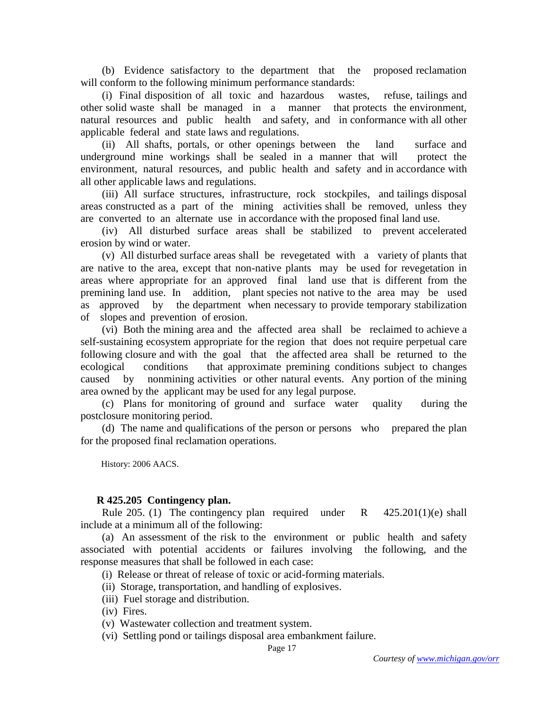(b) Evidence satisfactory to the department that the proposed reclamation will conform to the following minimum performance standards:

 (i) Final disposition of all toxic and hazardous wastes, refuse, tailings and other solid waste shall be managed in a manner that protects the environment, natural resources and public health and safety, and in conformance with all other applicable federal and state laws and regulations.

 (ii) All shafts, portals, or other openings between the land surface and underground mine workings shall be sealed in a manner that will protect the environment, natural resources, and public health and safety and in accordance with all other applicable laws and regulations.

 (iii) All surface structures, infrastructure, rock stockpiles, and tailings disposal areas constructed as a part of the mining activities shall be removed, unless they are converted to an alternate use in accordance with the proposed final land use.

 (iv) All disturbed surface areas shall be stabilized to prevent accelerated erosion by wind or water.

 (v) All disturbed surface areas shall be revegetated with a variety of plants that are native to the area, except that non-native plants may be used for revegetation in areas where appropriate for an approved final land use that is different from the premining land use. In addition, plant species not native to the area may be used as approved by the department when necessary to provide temporary stabilization of slopes and prevention of erosion.

 (vi) Both the mining area and the affected area shall be reclaimed to achieve a self-sustaining ecosystem appropriate for the region that does not require perpetual care following closure and with the goal that the affected area shall be returned to the ecological conditions that approximate premining conditions subject to changes caused by nonmining activities or other natural events. Any portion of the mining area owned by the applicant may be used for any legal purpose.

 (c) Plans for monitoring of ground and surface water quality during the postclosure monitoring period.

 (d) The name and qualifications of the person or persons who prepared the plan for the proposed final reclamation operations.

History: 2006 AACS.

# **R 425.205 Contingency plan.**

Rule 205. (1) The contingency plan required under R  $425.201(1)(e)$  shall include at a minimum all of the following:

 (a) An assessment of the risk to the environment or public health and safety associated with potential accidents or failures involving the following, and the response measures that shall be followed in each case:

(i) Release or threat of release of toxic or acid-forming materials.

- (ii) Storage, transportation, and handling of explosives.
- (iii) Fuel storage and distribution.

(iv) Fires.

- (v) Wastewater collection and treatment system.
- (vi) Settling pond or tailings disposal area embankment failure.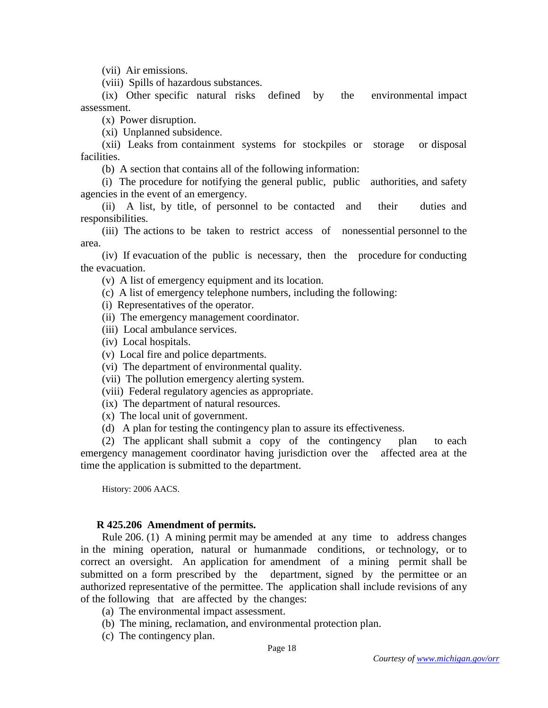(vii) Air emissions.

(viii) Spills of hazardous substances.

 (ix) Other specific natural risks defined by the environmental impact assessment.

(x) Power disruption.

(xi) Unplanned subsidence.

 (xii) Leaks from containment systems for stockpiles or storage or disposal facilities.

(b) A section that contains all of the following information:

 (i) The procedure for notifying the general public, public authorities, and safety agencies in the event of an emergency.

 (ii) A list, by title, of personnel to be contacted and their duties and responsibilities.

 (iii) The actions to be taken to restrict access of nonessential personnel to the area.

 (iv) If evacuation of the public is necessary, then the procedure for conducting the evacuation.

(v) A list of emergency equipment and its location.

(c) A list of emergency telephone numbers, including the following:

- (i) Representatives of the operator.
- (ii) The emergency management coordinator.
- (iii) Local ambulance services.
- (iv) Local hospitals.

(v) Local fire and police departments.

- (vi) The department of environmental quality.
- (vii) The pollution emergency alerting system.
- (viii) Federal regulatory agencies as appropriate.
- (ix) The department of natural resources.
- (x) The local unit of government.
- (d) A plan for testing the contingency plan to assure its effectiveness.

 (2) The applicant shall submit a copy of the contingency plan to each emergency management coordinator having jurisdiction over the affected area at the time the application is submitted to the department.

History: 2006 AACS.

#### **R 425.206 Amendment of permits.**

 Rule 206. (1) A mining permit may be amended at any time to address changes in the mining operation, natural or humanmade conditions, or technology, or to correct an oversight. An application for amendment of a mining permit shall be submitted on a form prescribed by the department, signed by the permittee or an authorized representative of the permittee. The application shall include revisions of any of the following that are affected by the changes:

- (a) The environmental impact assessment.
- (b) The mining, reclamation, and environmental protection plan.
- (c) The contingency plan.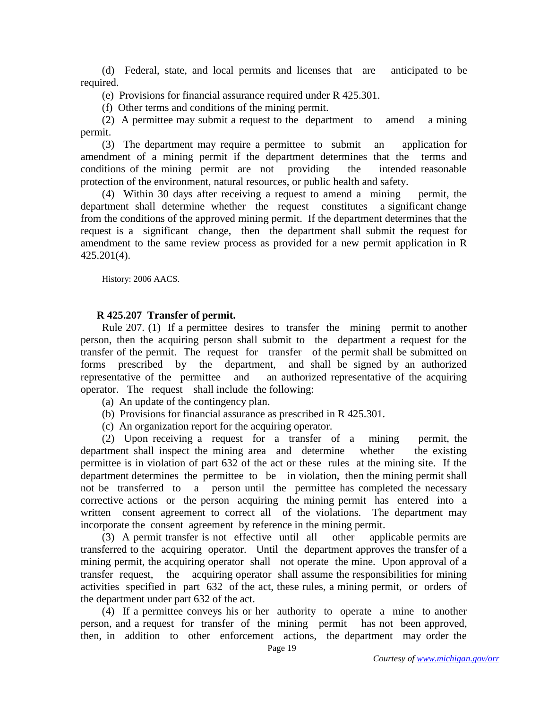(d) Federal, state, and local permits and licenses that are anticipated to be required.

(e) Provisions for financial assurance required under R 425.301.

(f) Other terms and conditions of the mining permit.

 (2) A permittee may submit a request to the department to amend a mining permit.

 (3) The department may require a permittee to submit an application for amendment of a mining permit if the department determines that the terms and conditions of the mining permit are not providing the intended reasonable protection of the environment, natural resources, or public health and safety.

 (4) Within 30 days after receiving a request to amend a mining permit, the department shall determine whether the request constitutes a significant change from the conditions of the approved mining permit. If the department determines that the request is a significant change, then the department shall submit the request for amendment to the same review process as provided for a new permit application in R 425.201(4).

History: 2006 AACS.

## **R 425.207 Transfer of permit.**

 Rule 207. (1) If a permittee desires to transfer the mining permit to another person, then the acquiring person shall submit to the department a request for the transfer of the permit. The request for transfer of the permit shall be submitted on forms prescribed by the department, and shall be signed by an authorized representative of the permittee and an authorized representative of the acquiring operator. The request shall include the following:

- (a) An update of the contingency plan.
- (b) Provisions for financial assurance as prescribed in R 425.301.
- (c) An organization report for the acquiring operator.

 (2) Upon receiving a request for a transfer of a mining permit, the department shall inspect the mining area and determine whether the existing permittee is in violation of part 632 of the act or these rules at the mining site. If the department determines the permittee to be in violation, then the mining permit shall not be transferred to a person until the permittee has completed the necessary corrective actions or the person acquiring the mining permit has entered into a written consent agreement to correct all of the violations. The department may incorporate the consent agreement by reference in the mining permit.

 (3) A permit transfer is not effective until all other applicable permits are transferred to the acquiring operator. Until the department approves the transfer of a mining permit, the acquiring operator shall not operate the mine. Upon approval of a transfer request, the acquiring operator shall assume the responsibilities for mining activities specified in part 632 of the act, these rules, a mining permit, or orders of the department under part 632 of the act.

 (4) If a permittee conveys his or her authority to operate a mine to another person, and a request for transfer of the mining permit has not been approved, then, in addition to other enforcement actions, the department may order the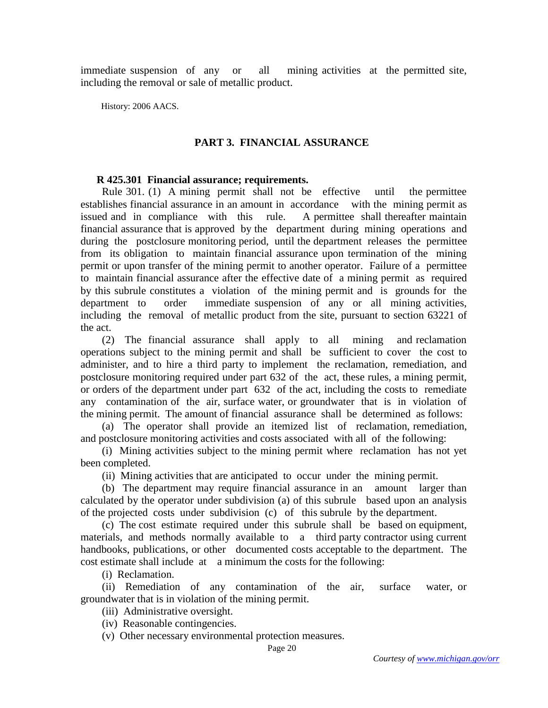immediate suspension of any or all mining activities at the permitted site, including the removal or sale of metallic product.

History: 2006 AACS.

## **PART 3. FINANCIAL ASSURANCE**

#### **R 425.301 Financial assurance; requirements.**

 Rule 301. (1) A mining permit shall not be effective until the permittee establishes financial assurance in an amount in accordance with the mining permit as issued and in compliance with this rule. A permittee shall thereafter maintain financial assurance that is approved by the department during mining operations and during the postclosure monitoring period, until the department releases the permittee from its obligation to maintain financial assurance upon termination of the mining permit or upon transfer of the mining permit to another operator. Failure of a permittee to maintain financial assurance after the effective date of a mining permit as required by this subrule constitutes a violation of the mining permit and is grounds for the department to order immediate suspension of any or all mining activities, including the removal of metallic product from the site, pursuant to section 63221 of the act.

 (2) The financial assurance shall apply to all mining and reclamation operations subject to the mining permit and shall be sufficient to cover the cost to administer, and to hire a third party to implement the reclamation, remediation, and postclosure monitoring required under part 632 of the act, these rules, a mining permit, or orders of the department under part 632 of the act, including the costs to remediate any contamination of the air, surface water, or groundwater that is in violation of the mining permit. The amount of financial assurance shall be determined as follows:

 (a) The operator shall provide an itemized list of reclamation, remediation, and postclosure monitoring activities and costs associated with all of the following:

 (i) Mining activities subject to the mining permit where reclamation has not yet been completed.

(ii) Mining activities that are anticipated to occur under the mining permit.

 (b) The department may require financial assurance in an amount larger than calculated by the operator under subdivision (a) of this subrule based upon an analysis of the projected costs under subdivision (c) of this subrule by the department.

 (c) The cost estimate required under this subrule shall be based on equipment, materials, and methods normally available to a third party contractor using current handbooks, publications, or other documented costs acceptable to the department. The cost estimate shall include at a minimum the costs for the following:

(i) Reclamation.

 (ii) Remediation of any contamination of the air, surface water, or groundwater that is in violation of the mining permit.

(iii) Administrative oversight.

(iv) Reasonable contingencies.

(v) Other necessary environmental protection measures.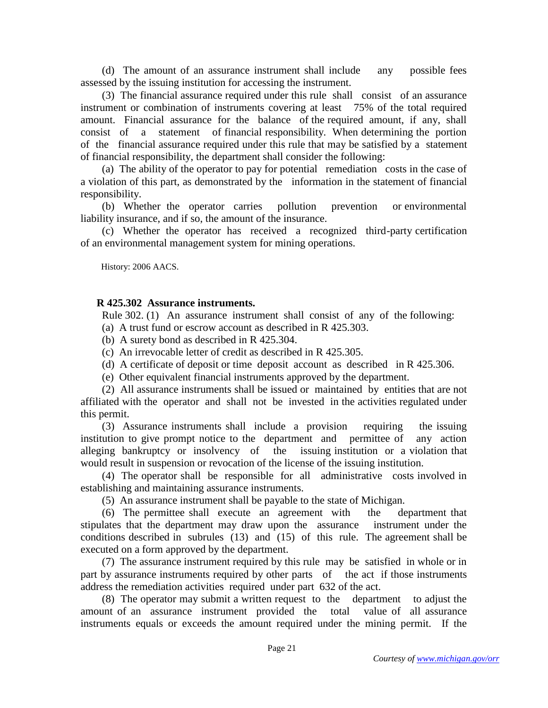(d) The amount of an assurance instrument shall include any possible fees assessed by the issuing institution for accessing the instrument.

 (3) The financial assurance required under this rule shall consist of an assurance instrument or combination of instruments covering at least 75% of the total required amount. Financial assurance for the balance of the required amount, if any, shall consist of a statement of financial responsibility. When determining the portion of the financial assurance required under this rule that may be satisfied by a statement of financial responsibility, the department shall consider the following:

 (a) The ability of the operator to pay for potential remediation costs in the case of a violation of this part, as demonstrated by the information in the statement of financial responsibility.

 (b) Whether the operator carries pollution prevention or environmental liability insurance, and if so, the amount of the insurance.

 (c) Whether the operator has received a recognized third-party certification of an environmental management system for mining operations.

History: 2006 AACS.

## **R 425.302 Assurance instruments.**

Rule 302. (1) An assurance instrument shall consist of any of the following:

(a) A trust fund or escrow account as described in R 425.303.

(b) A surety bond as described in R 425.304.

(c) An irrevocable letter of credit as described in R 425.305.

(d) A certificate of deposit or time deposit account as described in R 425.306.

(e) Other equivalent financial instruments approved by the department.

 (2) All assurance instruments shall be issued or maintained by entities that are not affiliated with the operator and shall not be invested in the activities regulated under this permit.

 (3) Assurance instruments shall include a provision requiring the issuing institution to give prompt notice to the department and permittee of any action alleging bankruptcy or insolvency of the issuing institution or a violation that would result in suspension or revocation of the license of the issuing institution.

 (4) The operator shall be responsible for all administrative costs involved in establishing and maintaining assurance instruments.

(5) An assurance instrument shall be payable to the state of Michigan.

 (6) The permittee shall execute an agreement with the department that stipulates that the department may draw upon the assurance instrument under the conditions described in subrules (13) and (15) of this rule. The agreement shall be executed on a form approved by the department.

 (7) The assurance instrument required by this rule may be satisfied in whole or in part by assurance instruments required by other parts of the act if those instruments address the remediation activities required under part 632 of the act.

 (8) The operator may submit a written request to the department to adjust the amount of an assurance instrument provided the total value of all assurance instruments equals or exceeds the amount required under the mining permit. If the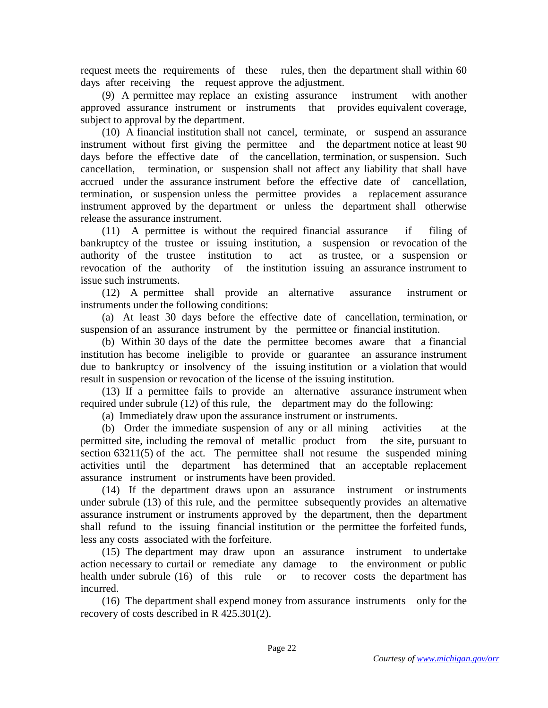request meets the requirements of these rules, then the department shall within 60 days after receiving the request approve the adjustment.

 (9) A permittee may replace an existing assurance instrument with another approved assurance instrument or instruments that provides equivalent coverage, subject to approval by the department.

 (10) A financial institution shall not cancel, terminate, or suspend an assurance instrument without first giving the permittee and the department notice at least 90 days before the effective date of the cancellation, termination, or suspension. Such cancellation, termination, or suspension shall not affect any liability that shall have accrued under the assurance instrument before the effective date of cancellation, termination, or suspension unless the permittee provides a replacement assurance instrument approved by the department or unless the department shall otherwise release the assurance instrument.

 (11) A permittee is without the required financial assurance if filing of bankruptcy of the trustee or issuing institution, a suspension or revocation of the authority of the trustee institution to act as trustee, or a suspension or revocation of the authority of the institution issuing an assurance instrument to issue such instruments.

 (12) A permittee shall provide an alternative assurance instrument or instruments under the following conditions:

 (a) At least 30 days before the effective date of cancellation, termination, or suspension of an assurance instrument by the permittee or financial institution.

 (b) Within 30 days of the date the permittee becomes aware that a financial institution has become ineligible to provide or guarantee an assurance instrument due to bankruptcy or insolvency of the issuing institution or a violation that would result in suspension or revocation of the license of the issuing institution.

 (13) If a permittee fails to provide an alternative assurance instrument when required under subrule (12) of this rule, the department may do the following:

(a) Immediately draw upon the assurance instrument or instruments.

 (b) Order the immediate suspension of any or all mining activities at the permitted site, including the removal of metallic product from the site, pursuant to section 63211(5) of the act. The permittee shall not resume the suspended mining activities until the department has determined that an acceptable replacement assurance instrument or instruments have been provided.

 (14) If the department draws upon an assurance instrument or instruments under subrule (13) of this rule, and the permittee subsequently provides an alternative assurance instrument or instruments approved by the department, then the department shall refund to the issuing financial institution or the permittee the forfeited funds, less any costs associated with the forfeiture.

 (15) The department may draw upon an assurance instrument to undertake action necessary to curtail or remediate any damage to the environment or public health under subrule (16) of this rule or to recover costs the department has incurred.

 (16) The department shall expend money from assurance instruments only for the recovery of costs described in R 425.301(2).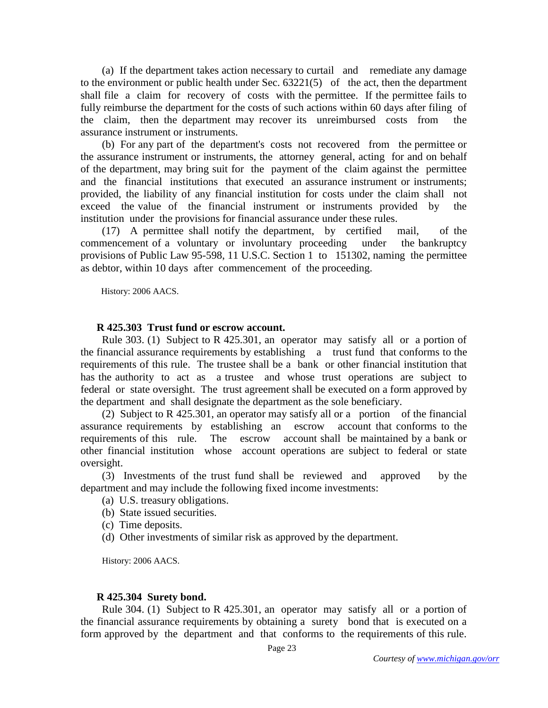(a) If the department takes action necessary to curtail and remediate any damage to the environment or public health under Sec. 63221(5) of the act, then the department shall file a claim for recovery of costs with the permittee. If the permittee fails to fully reimburse the department for the costs of such actions within 60 days after filing of the claim, then the department may recover its unreimbursed costs from the assurance instrument or instruments.

 (b) For any part of the department's costs not recovered from the permittee or the assurance instrument or instruments, the attorney general, acting for and on behalf of the department, may bring suit for the payment of the claim against the permittee and the financial institutions that executed an assurance instrument or instruments; provided, the liability of any financial institution for costs under the claim shall not exceed the value of the financial instrument or instruments provided by the institution under the provisions for financial assurance under these rules.

 (17) A permittee shall notify the department, by certified mail, of the commencement of a voluntary or involuntary proceeding under the bankruptcy provisions of Public Law 95-598, 11 U.S.C. Section 1 to 151302, naming the permittee as debtor, within 10 days after commencement of the proceeding.

History: 2006 AACS.

### **R 425.303 Trust fund or escrow account.**

 Rule 303. (1) Subject to R 425.301, an operator may satisfy all or a portion of the financial assurance requirements by establishing a trust fund that conforms to the requirements of this rule. The trustee shall be a bank or other financial institution that has the authority to act as a trustee and whose trust operations are subject to federal or state oversight. The trust agreement shall be executed on a form approved by the department and shall designate the department as the sole beneficiary.

 (2) Subject to R 425.301, an operator may satisfy all or a portion of the financial assurance requirements by establishing an escrow account that conforms to the requirements of this rule. The escrow account shall be maintained by a bank or other financial institution whose account operations are subject to federal or state oversight.

 (3) Investments of the trust fund shall be reviewed and approved by the department and may include the following fixed income investments:

- (a) U.S. treasury obligations.
- (b) State issued securities.
- (c) Time deposits.
- (d) Other investments of similar risk as approved by the department.

History: 2006 AACS.

#### **R 425.304 Surety bond.**

 Rule 304. (1) Subject to R 425.301, an operator may satisfy all or a portion of the financial assurance requirements by obtaining a surety bond that is executed on a form approved by the department and that conforms to the requirements of this rule.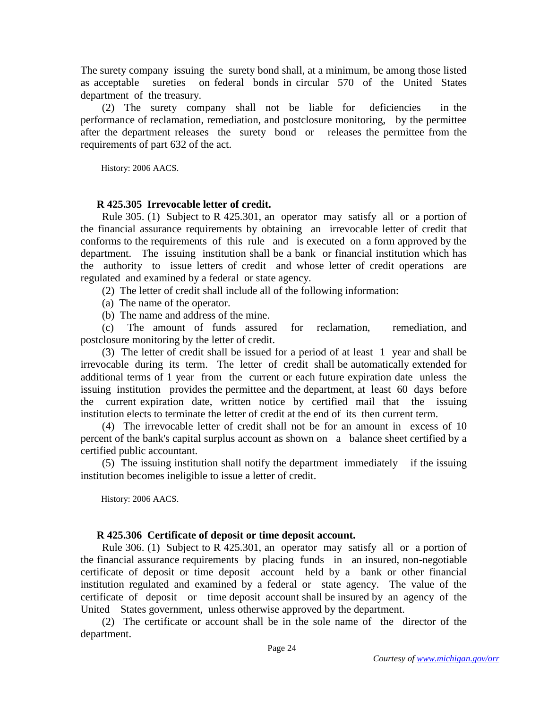The surety company issuing the surety bond shall, at a minimum, be among those listed as acceptable sureties on federal bonds in circular 570 of the United States department of the treasury.

 (2) The surety company shall not be liable for deficiencies in the performance of reclamation, remediation, and postclosure monitoring, by the permittee after the department releases the surety bond or releases the permittee from the requirements of part 632 of the act.

History: 2006 AACS.

## **R 425.305 Irrevocable letter of credit.**

 Rule 305. (1) Subject to R 425.301, an operator may satisfy all or a portion of the financial assurance requirements by obtaining an irrevocable letter of credit that conforms to the requirements of this rule and is executed on a form approved by the department. The issuing institution shall be a bank or financial institution which has the authority to issue letters of credit and whose letter of credit operations are regulated and examined by a federal or state agency.

(2) The letter of credit shall include all of the following information:

(a) The name of the operator.

(b) The name and address of the mine.

 (c) The amount of funds assured for reclamation, remediation, and postclosure monitoring by the letter of credit.

 (3) The letter of credit shall be issued for a period of at least 1 year and shall be irrevocable during its term. The letter of credit shall be automatically extended for additional terms of 1 year from the current or each future expiration date unless the issuing institution provides the permittee and the department, at least 60 days before the current expiration date, written notice by certified mail that the issuing institution elects to terminate the letter of credit at the end of its then current term.

 (4) The irrevocable letter of credit shall not be for an amount in excess of 10 percent of the bank's capital surplus account as shown on a balance sheet certified by a certified public accountant.

 (5) The issuing institution shall notify the department immediately if the issuing institution becomes ineligible to issue a letter of credit.

History: 2006 AACS.

### **R 425.306 Certificate of deposit or time deposit account.**

 Rule 306. (1) Subject to R 425.301, an operator may satisfy all or a portion of the financial assurance requirements by placing funds in an insured, non-negotiable certificate of deposit or time deposit account held by a bank or other financial institution regulated and examined by a federal or state agency. The value of the certificate of deposit or time deposit account shall be insured by an agency of the United States government, unless otherwise approved by the department.

 (2) The certificate or account shall be in the sole name of the director of the department.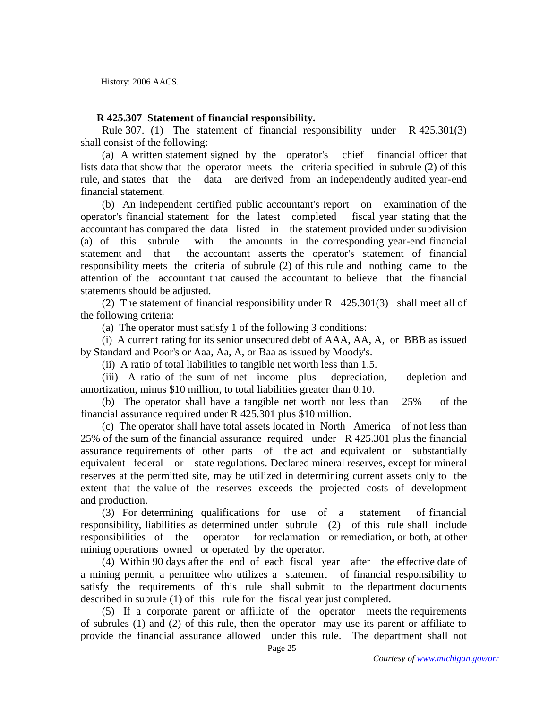History: 2006 AACS.

### **R 425.307 Statement of financial responsibility.**

 Rule 307. (1) The statement of financial responsibility under R 425.301(3) shall consist of the following:

 (a) A written statement signed by the operator's chief financial officer that lists data that show that the operator meets the criteria specified in subrule (2) of this rule, and states that the data are derived from an independently audited year-end financial statement.

 (b) An independent certified public accountant's report on examination of the operator's financial statement for the latest completed fiscal year stating that the accountant has compared the data listed in the statement provided under subdivision (a) of this subrule with the amounts in the corresponding year-end financial statement and that the accountant asserts the operator's statement of financial responsibility meets the criteria of subrule (2) of this rule and nothing came to the attention of the accountant that caused the accountant to believe that the financial statements should be adjusted.

 (2) The statement of financial responsibility under R 425.301(3) shall meet all of the following criteria:

(a) The operator must satisfy 1 of the following 3 conditions:

 (i) A current rating for its senior unsecured debt of AAA, AA, A, or BBB as issued by Standard and Poor's or Aaa, Aa, A, or Baa as issued by Moody's.

(ii) A ratio of total liabilities to tangible net worth less than 1.5.

 (iii) A ratio of the sum of net income plus depreciation, depletion and amortization, minus \$10 million, to total liabilities greater than 0.10.

 (b) The operator shall have a tangible net worth not less than 25% of the financial assurance required under R 425.301 plus \$10 million.

 (c) The operator shall have total assets located in North America of not less than 25% of the sum of the financial assurance required under R 425.301 plus the financial assurance requirements of other parts of the act and equivalent or substantially equivalent federal or state regulations. Declared mineral reserves, except for mineral reserves at the permitted site, may be utilized in determining current assets only to the extent that the value of the reserves exceeds the projected costs of development and production.

 (3) For determining qualifications for use of a statement of financial responsibility, liabilities as determined under subrule (2) of this rule shall include responsibilities of the operator for reclamation or remediation, or both, at other mining operations owned or operated by the operator.

 (4) Within 90 days after the end of each fiscal year after the effective date of a mining permit, a permittee who utilizes a statement of financial responsibility to satisfy the requirements of this rule shall submit to the department documents described in subrule (1) of this rule for the fiscal year just completed.

 (5) If a corporate parent or affiliate of the operator meets the requirements of subrules (1) and (2) of this rule, then the operator may use its parent or affiliate to provide the financial assurance allowed under this rule. The department shall not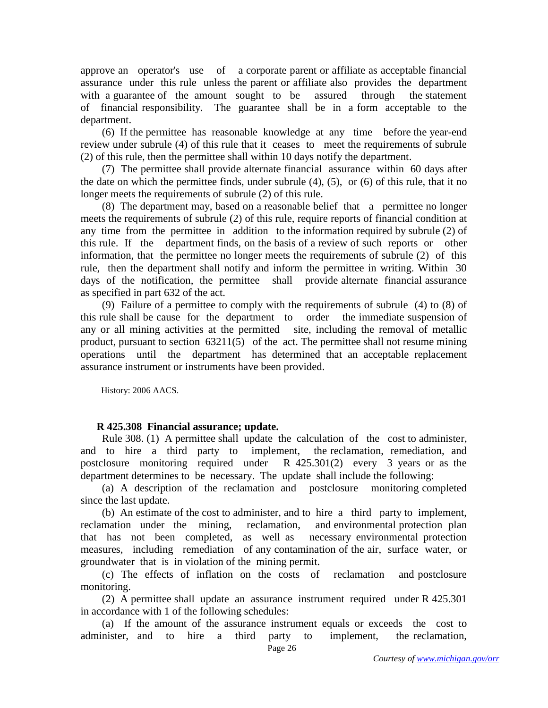approve an operator's use of a corporate parent or affiliate as acceptable financial assurance under this rule unless the parent or affiliate also provides the department with a guarantee of the amount sought to be assured through the statement of financial responsibility. The guarantee shall be in a form acceptable to the department.

 (6) If the permittee has reasonable knowledge at any time before the year-end review under subrule (4) of this rule that it ceases to meet the requirements of subrule (2) of this rule, then the permittee shall within 10 days notify the department.

 (7) The permittee shall provide alternate financial assurance within 60 days after the date on which the permittee finds, under subrule (4), (5), or (6) of this rule, that it no longer meets the requirements of subrule (2) of this rule.

 (8) The department may, based on a reasonable belief that a permittee no longer meets the requirements of subrule (2) of this rule, require reports of financial condition at any time from the permittee in addition to the information required by subrule (2) of this rule. If the department finds, on the basis of a review of such reports or other information, that the permittee no longer meets the requirements of subrule (2) of this rule, then the department shall notify and inform the permittee in writing. Within 30 days of the notification, the permittee shall provide alternate financial assurance as specified in part 632 of the act.

 (9) Failure of a permittee to comply with the requirements of subrule (4) to (8) of this rule shall be cause for the department to order the immediate suspension of any or all mining activities at the permitted site, including the removal of metallic product, pursuant to section 63211(5) of the act. The permittee shall not resume mining operations until the department has determined that an acceptable replacement assurance instrument or instruments have been provided.

History: 2006 AACS.

# **R 425.308 Financial assurance; update.**

 Rule 308. (1) A permittee shall update the calculation of the cost to administer, and to hire a third party to implement, the reclamation, remediation, and postclosure monitoring required under  $R$  425.301(2) every 3 years or as the department determines to be necessary. The update shall include the following:

 (a) A description of the reclamation and postclosure monitoring completed since the last update.

 (b) An estimate of the cost to administer, and to hire a third party to implement, reclamation under the mining, reclamation, and environmental protection plan that has not been completed, as well as necessary environmental protection measures, including remediation of any contamination of the air, surface water, or groundwater that is in violation of the mining permit.

 (c) The effects of inflation on the costs of reclamation and postclosure monitoring.

 (2) A permittee shall update an assurance instrument required under R 425.301 in accordance with 1 of the following schedules:

 (a) If the amount of the assurance instrument equals or exceeds the cost to administer, and to hire a third party to implement, the reclamation,

Page 26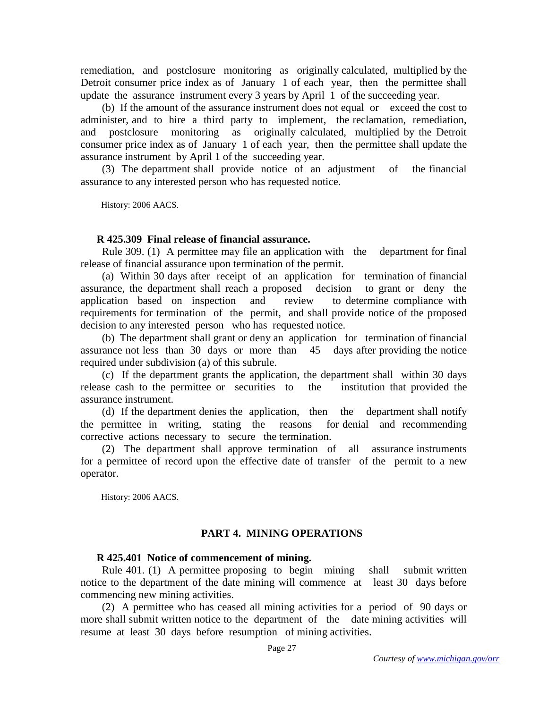remediation, and postclosure monitoring as originally calculated, multiplied by the Detroit consumer price index as of January 1 of each year, then the permittee shall update the assurance instrument every 3 years by April 1 of the succeeding year.

 (b) If the amount of the assurance instrument does not equal or exceed the cost to administer, and to hire a third party to implement, the reclamation, remediation, and postclosure monitoring as originally calculated, multiplied by the Detroit consumer price index as of January 1 of each year, then the permittee shall update the assurance instrument by April 1 of the succeeding year.

 (3) The department shall provide notice of an adjustment of the financial assurance to any interested person who has requested notice.

History: 2006 AACS.

## **R 425.309 Final release of financial assurance.**

 Rule 309. (1) A permittee may file an application with the department for final release of financial assurance upon termination of the permit.

 (a) Within 30 days after receipt of an application for termination of financial assurance, the department shall reach a proposed decision to grant or deny the application based on inspection and review to determine compliance with requirements for termination of the permit, and shall provide notice of the proposed decision to any interested person who has requested notice.

 (b) The department shall grant or deny an application for termination of financial assurance not less than 30 days or more than 45 days after providing the notice required under subdivision (a) of this subrule.

 (c) If the department grants the application, the department shall within 30 days release cash to the permittee or securities to the institution that provided the assurance instrument.

 (d) If the department denies the application, then the department shall notify the permittee in writing, stating the reasons for denial and recommending corrective actions necessary to secure the termination.

 (2) The department shall approve termination of all assurance instruments for a permittee of record upon the effective date of transfer of the permit to a new operator.

History: 2006 AACS.

# **PART 4. MINING OPERATIONS**

### **R 425.401 Notice of commencement of mining.**

 Rule 401. (1) A permittee proposing to begin mining shall submit written notice to the department of the date mining will commence at least 30 days before commencing new mining activities.

 (2) A permittee who has ceased all mining activities for a period of 90 days or more shall submit written notice to the department of the date mining activities will resume at least 30 days before resumption of mining activities.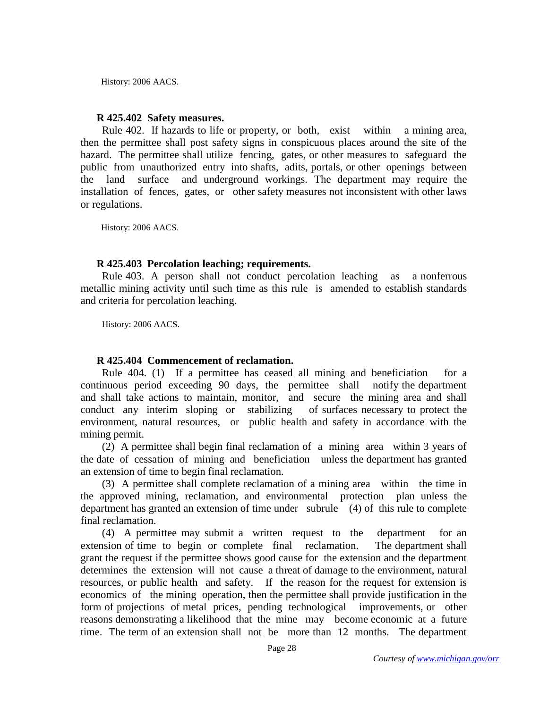History: 2006 AACS.

### **R 425.402 Safety measures.**

 Rule 402. If hazards to life or property, or both, exist within a mining area, then the permittee shall post safety signs in conspicuous places around the site of the hazard. The permittee shall utilize fencing, gates, or other measures to safeguard the public from unauthorized entry into shafts, adits, portals, or other openings between the land surface and underground workings. The department may require the installation of fences, gates, or other safety measures not inconsistent with other laws or regulations.

History: 2006 AACS.

### **R 425.403 Percolation leaching; requirements.**

 Rule 403. A person shall not conduct percolation leaching as a nonferrous metallic mining activity until such time as this rule is amended to establish standards and criteria for percolation leaching.

History: 2006 AACS.

### **R 425.404 Commencement of reclamation.**

 Rule 404. (1) If a permittee has ceased all mining and beneficiation for a continuous period exceeding 90 days, the permittee shall notify the department and shall take actions to maintain, monitor, and secure the mining area and shall conduct any interim sloping or stabilizing of surfaces necessary to protect the environment, natural resources, or public health and safety in accordance with the mining permit.

 (2) A permittee shall begin final reclamation of a mining area within 3 years of the date of cessation of mining and beneficiation unless the department has granted an extension of time to begin final reclamation.

 (3) A permittee shall complete reclamation of a mining area within the time in the approved mining, reclamation, and environmental protection plan unless the department has granted an extension of time under subrule (4) of this rule to complete final reclamation.

 (4) A permittee may submit a written request to the department for an extension of time to begin or complete final reclamation. The department shall grant the request if the permittee shows good cause for the extension and the department determines the extension will not cause a threat of damage to the environment, natural resources, or public health and safety. If the reason for the request for extension is economics of the mining operation, then the permittee shall provide justification in the form of projections of metal prices, pending technological improvements, or other reasons demonstrating a likelihood that the mine may become economic at a future time. The term of an extension shall not be more than 12 months. The department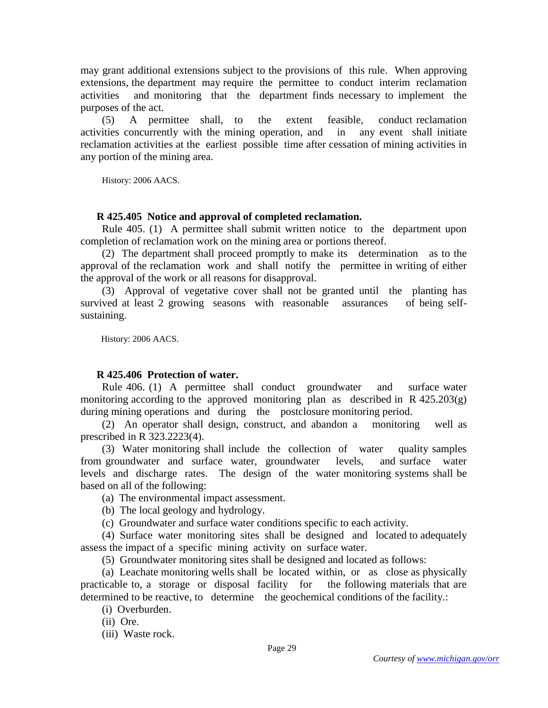may grant additional extensions subject to the provisions of this rule. When approving extensions, the department may require the permittee to conduct interim reclamation activities and monitoring that the department finds necessary to implement the purposes of the act.

 (5) A permittee shall, to the extent feasible, conduct reclamation activities concurrently with the mining operation, and in any event shall initiate reclamation activities at the earliest possible time after cessation of mining activities in any portion of the mining area.

History: 2006 AACS.

### **R 425.405 Notice and approval of completed reclamation.**

 Rule 405. (1) A permittee shall submit written notice to the department upon completion of reclamation work on the mining area or portions thereof.

 (2) The department shall proceed promptly to make its determination as to the approval of the reclamation work and shall notify the permittee in writing of either the approval of the work or all reasons for disapproval.

 (3) Approval of vegetative cover shall not be granted until the planting has survived at least 2 growing seasons with reasonable assurances of being selfsustaining.

History: 2006 AACS.

### **R 425.406 Protection of water.**

 Rule 406. (1) A permittee shall conduct groundwater and surface water monitoring according to the approved monitoring plan as described in  $R$  425.203(g) during mining operations and during the postclosure monitoring period.

 (2) An operator shall design, construct, and abandon a monitoring well as prescribed in R 323.2223(4).

 (3) Water monitoring shall include the collection of water quality samples from groundwater and surface water, groundwater levels, and surface water levels and discharge rates. The design of the water monitoring systems shall be based on all of the following:

(a) The environmental impact assessment.

(b) The local geology and hydrology.

(c) Groundwater and surface water conditions specific to each activity.

 (4) Surface water monitoring sites shall be designed and located to adequately assess the impact of a specific mining activity on surface water.

(5) Groundwater monitoring sites shall be designed and located as follows:

 (a) Leachate monitoring wells shall be located within, or as close as physically practicable to, a storage or disposal facility for the following materials that are determined to be reactive, to determine the geochemical conditions of the facility.:

(i) Overburden.

(ii) Ore.

(iii) Waste rock.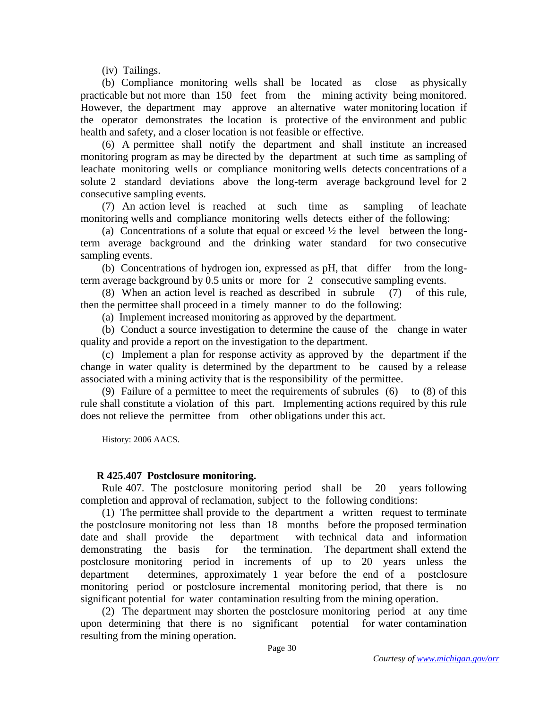(iv) Tailings.

 (b) Compliance monitoring wells shall be located as close as physically practicable but not more than 150 feet from the mining activity being monitored. However, the department may approve an alternative water monitoring location if the operator demonstrates the location is protective of the environment and public health and safety, and a closer location is not feasible or effective.

 (6) A permittee shall notify the department and shall institute an increased monitoring program as may be directed by the department at such time as sampling of leachate monitoring wells or compliance monitoring wells detects concentrations of a solute 2 standard deviations above the long-term average background level for 2 consecutive sampling events.

 (7) An action level is reached at such time as sampling of leachate monitoring wells and compliance monitoring wells detects either of the following:

(a) Concentrations of a solute that equal or exceed  $\frac{1}{2}$  the level between the longterm average background and the drinking water standard for two consecutive sampling events.

 (b) Concentrations of hydrogen ion, expressed as pH, that differ from the longterm average background by 0.5 units or more for 2 consecutive sampling events.

 (8) When an action level is reached as described in subrule (7) of this rule, then the permittee shall proceed in a timely manner to do the following:

(a) Implement increased monitoring as approved by the department.

 (b) Conduct a source investigation to determine the cause of the change in water quality and provide a report on the investigation to the department.

 (c) Implement a plan for response activity as approved by the department if the change in water quality is determined by the department to be caused by a release associated with a mining activity that is the responsibility of the permittee.

 (9) Failure of a permittee to meet the requirements of subrules (6) to (8) of this rule shall constitute a violation of this part. Implementing actions required by this rule does not relieve the permittee from other obligations under this act.

History: 2006 AACS.

# **R 425.407 Postclosure monitoring.**

 Rule 407. The postclosure monitoring period shall be 20 years following completion and approval of reclamation, subject to the following conditions:

 (1) The permittee shall provide to the department a written request to terminate the postclosure monitoring not less than 18 months before the proposed termination date and shall provide the department with technical data and information demonstrating the basis for the termination. The department shall extend the postclosure monitoring period in increments of up to 20 years unless the department determines, approximately 1 year before the end of a postclosure monitoring period or postclosure incremental monitoring period, that there is no significant potential for water contamination resulting from the mining operation.

 (2) The department may shorten the postclosure monitoring period at any time upon determining that there is no significant potential for water contamination resulting from the mining operation.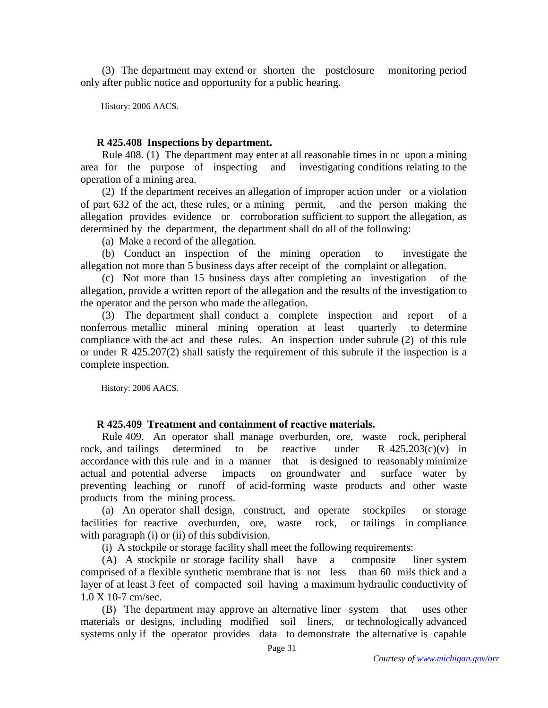(3) The department may extend or shorten the postclosure monitoring period only after public notice and opportunity for a public hearing.

History: 2006 AACS.

## **R 425.408 Inspections by department.**

 Rule 408. (1) The department may enter at all reasonable times in or upon a mining area for the purpose of inspecting and investigating conditions relating to the operation of a mining area.

 (2) If the department receives an allegation of improper action under or a violation of part 632 of the act, these rules, or a mining permit, and the person making the allegation provides evidence or corroboration sufficient to support the allegation, as determined by the department, the department shall do all of the following:

(a) Make a record of the allegation.

 (b) Conduct an inspection of the mining operation to investigate the allegation not more than 5 business days after receipt of the complaint or allegation.

 (c) Not more than 15 business days after completing an investigation of the allegation, provide a written report of the allegation and the results of the investigation to the operator and the person who made the allegation.

 (3) The department shall conduct a complete inspection and report of a nonferrous metallic mineral mining operation at least quarterly to determine compliance with the act and these rules. An inspection under subrule (2) of this rule or under R 425.207(2) shall satisfy the requirement of this subrule if the inspection is a complete inspection.

History: 2006 AACS.

# **R 425.409 Treatment and containment of reactive materials.**

 Rule 409. An operator shall manage overburden, ore, waste rock, peripheral rock, and tailings determined to be reactive under R  $425.203(c)(v)$  in accordance with this rule and in a manner that is designed to reasonably minimize actual and potential adverse impacts on groundwater and surface water by preventing leaching or runoff of acid-forming waste products and other waste products from the mining process.

 (a) An operator shall design, construct, and operate stockpiles or storage facilities for reactive overburden, ore, waste rock, or tailings in compliance with paragraph (i) or (ii) of this subdivision.

(i) A stockpile or storage facility shall meet the following requirements:

 (A) A stockpile or storage facility shall have a composite liner system comprised of a flexible synthetic membrane that is not less than 60 mils thick and a layer of at least 3 feet of compacted soil having a maximum hydraulic conductivity of 1.0 X 10-7 cm/sec.

 (B) The department may approve an alternative liner system that uses other materials or designs, including modified soil liners, or technologically advanced systems only if the operator provides data to demonstrate the alternative is capable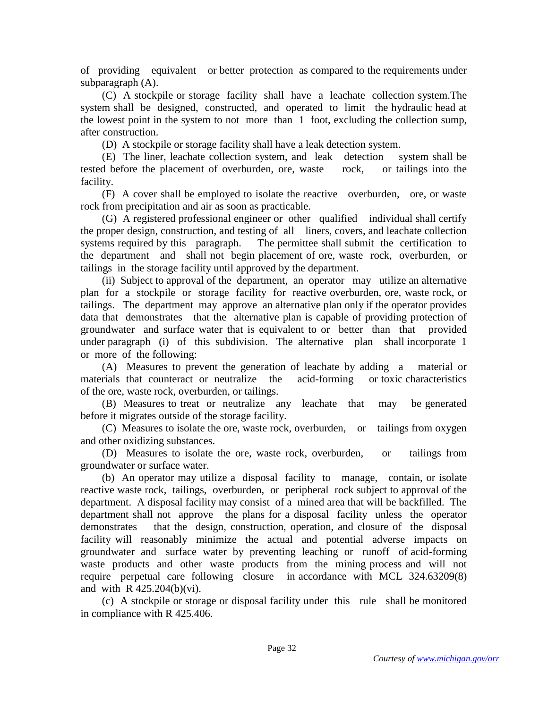of providing equivalent or better protection as compared to the requirements under subparagraph (A).

 (C) A stockpile or storage facility shall have a leachate collection system.The system shall be designed, constructed, and operated to limit the hydraulic head at the lowest point in the system to not more than 1 foot, excluding the collection sump, after construction.

(D) A stockpile or storage facility shall have a leak detection system.

 (E) The liner, leachate collection system, and leak detection system shall be tested before the placement of overburden, ore, waste rock, or tailings into the facility.

 (F) A cover shall be employed to isolate the reactive overburden, ore, or waste rock from precipitation and air as soon as practicable.

 (G) A registered professional engineer or other qualified individual shall certify the proper design, construction, and testing of all liners, covers, and leachate collection systems required by this paragraph. The permittee shall submit the certification to the department and shall not begin placement of ore, waste rock, overburden, or tailings in the storage facility until approved by the department.

 (ii) Subject to approval of the department, an operator may utilize an alternative plan for a stockpile or storage facility for reactive overburden, ore, waste rock, or tailings. The department may approve an alternative plan only if the operator provides data that demonstrates that the alternative plan is capable of providing protection of groundwater and surface water that is equivalent to or better than that provided under paragraph (i) of this subdivision. The alternative plan shall incorporate 1 or more of the following:

 (A) Measures to prevent the generation of leachate by adding a material or materials that counteract or neutralize the acid-forming or toxic characteristics of the ore, waste rock, overburden, or tailings.

 (B) Measures to treat or neutralize any leachate that may be generated before it migrates outside of the storage facility.

 (C) Measures to isolate the ore, waste rock, overburden, or tailings from oxygen and other oxidizing substances.

 (D) Measures to isolate the ore, waste rock, overburden, or tailings from groundwater or surface water.

 (b) An operator may utilize a disposal facility to manage, contain, or isolate reactive waste rock, tailings, overburden, or peripheral rock subject to approval of the department. A disposal facility may consist of a mined area that will be backfilled. The department shall not approve the plans for a disposal facility unless the operator demonstrates that the design, construction, operation, and closure of the disposal facility will reasonably minimize the actual and potential adverse impacts on groundwater and surface water by preventing leaching or runoff of acid-forming waste products and other waste products from the mining process and will not require perpetual care following closure in accordance with MCL 324.63209(8) and with R 425.204(b)(vi).

 (c) A stockpile or storage or disposal facility under this rule shall be monitored in compliance with R 425.406.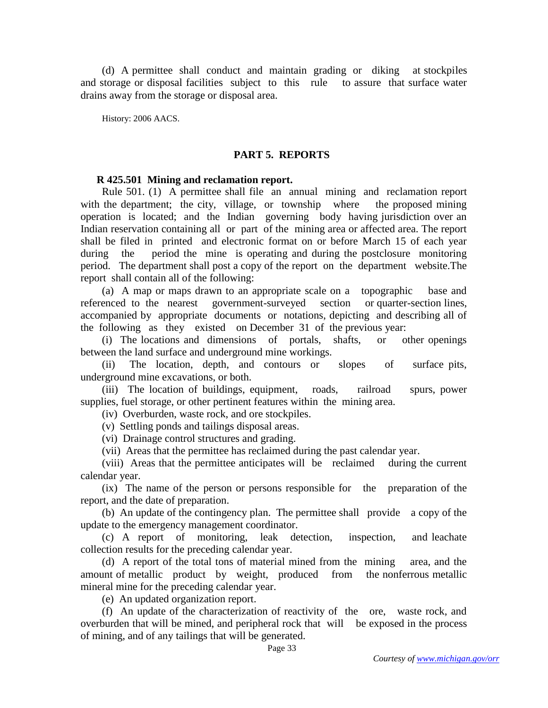(d) A permittee shall conduct and maintain grading or diking at stockpiles and storage or disposal facilities subject to this rule to assure that surface water drains away from the storage or disposal area.

History: 2006 AACS.

#### **PART 5. REPORTS**

#### **R 425.501 Mining and reclamation report.**

 Rule 501. (1) A permittee shall file an annual mining and reclamation report with the department; the city, village, or township where the proposed mining operation is located; and the Indian governing body having jurisdiction over an Indian reservation containing all or part of the mining area or affected area. The report shall be filed in printed and electronic format on or before March 15 of each year during the period the mine is operating and during the postclosure monitoring period. The department shall post a copy of the report on the department website.The report shall contain all of the following:

 (a) A map or maps drawn to an appropriate scale on a topographic base and referenced to the nearest government-surveyed section or quarter-section lines, accompanied by appropriate documents or notations, depicting and describing all of the following as they existed on December 31 of the previous year:

 (i) The locations and dimensions of portals, shafts, or other openings between the land surface and underground mine workings.

 (ii) The location, depth, and contours or slopes of surface pits, underground mine excavations, or both.

 (iii) The location of buildings, equipment, roads, railroad spurs, power supplies, fuel storage, or other pertinent features within the mining area.

(iv) Overburden, waste rock, and ore stockpiles.

(v) Settling ponds and tailings disposal areas.

(vi) Drainage control structures and grading.

(vii) Areas that the permittee has reclaimed during the past calendar year.

 (viii) Areas that the permittee anticipates will be reclaimed during the current calendar year.

 (ix) The name of the person or persons responsible for the preparation of the report, and the date of preparation.

 (b) An update of the contingency plan. The permittee shall provide a copy of the update to the emergency management coordinator.

 (c) A report of monitoring, leak detection, inspection, and leachate collection results for the preceding calendar year.

 (d) A report of the total tons of material mined from the mining area, and the amount of metallic product by weight, produced from the nonferrous metallic mineral mine for the preceding calendar year.

(e) An updated organization report.

 (f) An update of the characterization of reactivity of the ore, waste rock, and overburden that will be mined, and peripheral rock that will be exposed in the process of mining, and of any tailings that will be generated.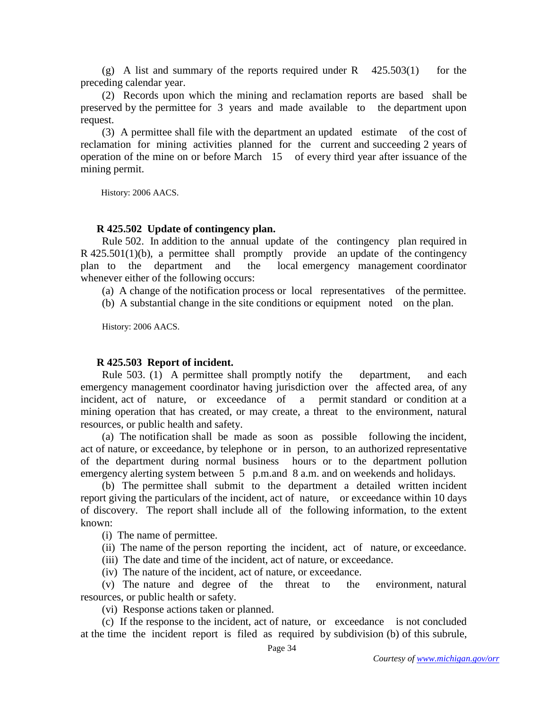(g) A list and summary of the reports required under R  $425.503(1)$  for the preceding calendar year.

 (2) Records upon which the mining and reclamation reports are based shall be preserved by the permittee for 3 years and made available to the department upon request.

 (3) A permittee shall file with the department an updated estimate of the cost of reclamation for mining activities planned for the current and succeeding 2 years of operation of the mine on or before March 15 of every third year after issuance of the mining permit.

History: 2006 AACS.

### **R 425.502 Update of contingency plan.**

 Rule 502. In addition to the annual update of the contingency plan required in  $R$  425.501(1)(b), a permittee shall promptly provide an update of the contingency plan to the department and the local emergency management coordinator whenever either of the following occurs:

(a) A change of the notification process or local representatives of the permittee.

(b) A substantial change in the site conditions or equipment noted on the plan.

History: 2006 AACS.

### **R 425.503 Report of incident.**

 Rule 503. (1) A permittee shall promptly notify the department, and each emergency management coordinator having jurisdiction over the affected area, of any incident, act of nature, or exceedance of a permit standard or condition at a mining operation that has created, or may create, a threat to the environment, natural resources, or public health and safety.

 (a) The notification shall be made as soon as possible following the incident, act of nature, or exceedance, by telephone or in person, to an authorized representative of the department during normal business hours or to the department pollution emergency alerting system between 5 p.m.and 8 a.m. and on weekends and holidays.

 (b) The permittee shall submit to the department a detailed written incident report giving the particulars of the incident, act of nature, or exceedance within 10 days of discovery. The report shall include all of the following information, to the extent known:

(i) The name of permittee.

(ii) The name of the person reporting the incident, act of nature, or exceedance.

(iii) The date and time of the incident, act of nature, or exceedance.

(iv) The nature of the incident, act of nature, or exceedance.

 (v) The nature and degree of the threat to the environment, natural resources, or public health or safety.

(vi) Response actions taken or planned.

 (c) If the response to the incident, act of nature, or exceedance is not concluded at the time the incident report is filed as required by subdivision (b) of this subrule,